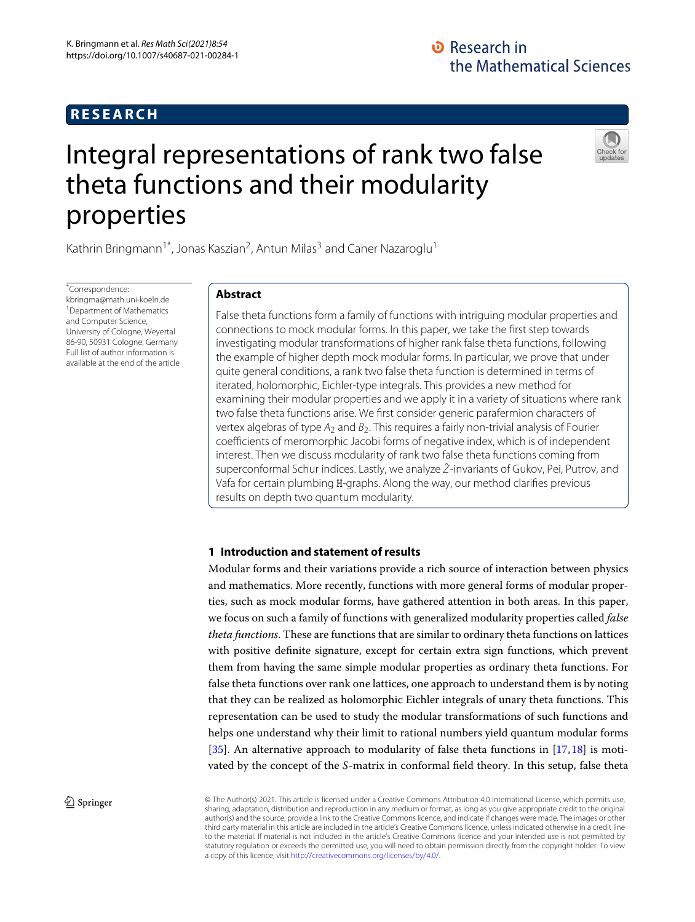# **RESEARCH**

# Integral representations of rank two false theta functions and their modularity properties



Kathrin Bringmann<sup>1\*</sup>, Jonas Kaszian<sup>2</sup>, Antun Milas<sup>3</sup> and Caner Nazaroglu<sup>1</sup>

\*Correspondence: kbringma@math.uni-koeln.de <sup>1</sup> Department of Mathematics and Computer Science, University of Cologne, Weyertal 86-90, 50931 Cologne, Germany Full list of author information is available at the end of the article

# **Abstract**

False theta functions form a family of functions with intriguing modular properties and connections to mock modular forms. In this paper, we take the first step towards investigating modular transformations of higher rank false theta functions, following the example of higher depth mock modular forms. In particular, we prove that under quite general conditions, a rank two false theta function is determined in terms of iterated, holomorphic, Eichler-type integrals. This provides a new method for examining their modular properties and we apply it in a variety of situations where rank two false theta functions arise. We first consider generic parafermion characters of vertex algebras of type *A*<sup>2</sup> and *B*2. This requires a fairly non-trivial analysis of Fourier coefficients of meromorphic Jacobi forms of negative index, which is of independent interest. Then we discuss modularity of rank two false theta functions coming from superconformal Schur indices. Lastly, we analyze *Z*ˆ-invariants of Gukov, Pei, Putrov, and Vafa for certain plumbing H-graphs. Along the way, our method clarifies previous results on depth two quantum modularity.

# **1 Introduction and statement of results**

Modular forms and their variations provide a rich source of interaction between physics and mathematics. More recently, functions with more general forms of modular properties, such as mock modular forms, have gathered attention in both areas. In this paper, we focus on such a family of functions with generalized modularity properties called *false theta functions*. These are functions that are similar to ordinary theta functions on lattices with positive definite signature, except for certain extra sign functions, which prevent them from having the same simple modular properties as ordinary theta functions. For false theta functions over rank one lattices, one approach to understand them is by noting that they can be realized as holomorphic Eichler integrals of unary theta functions. This representation can be used to study the modular transformations of such functions and helps one understand why their limit to rational numbers yield quantum modular forms [\[35\]](#page-30-0). An alternative approach to modularity of false theta functions in [\[17,](#page-30-1)[18\]](#page-30-2) is motivated by the concept of the *S*-matrix in conformal field theory. In this setup, false theta

**2 Springer** This article is licensed under a Creative Commons Attribution 4.0 International License, which permits use, sharing, adaptation, distribution and reproduction in any medium or format, as long as you give appropriate credit to the original author(s) and the source, provide a link to the Creative Commons licence, and indicate if changes were made. The images or other third party material in this article are included in the article's Creative Commons licence, unless indicated otherwise in a credit line to the material. If material is not included in the article's Creative Commons licence and your intended use is not permitted by statutory regulation or exceeds the permitted use, you will need to obtain permission directly from the copyright holder. To view a copy of this licence, visit [http://creativecommons.org/licenses/by/4.0/.](http://creativecommons.org/licenses/by/4.0/)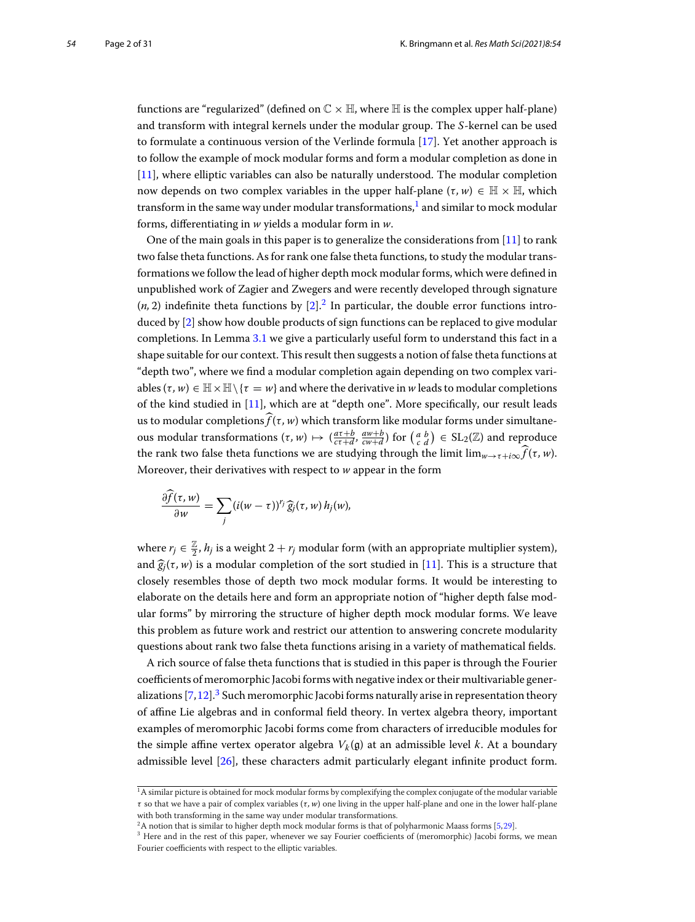functions are "regularized" (defined on  $\mathbb{C} \times \mathbb{H}$ , where  $\mathbb{H}$  is the complex upper half-plane) and transform with integral kernels under the modular group. The *S*-kernel can be used to formulate a continuous version of the Verlinde formula [\[17\]](#page-30-1). Yet another approach is to follow the example of mock modular forms and form a modular completion as done in [\[11\]](#page-30-3), where elliptic variables can also be naturally understood. The modular completion now depends on two complex variables in the upper half-plane  $(\tau, w) \in \mathbb{H} \times \mathbb{H}$ , which transform in the same way under modular transformations, $1$  and similar to mock modular forms, differentiating in *w* yields a modular form in *w*.

One of the main goals in this paper is to generalize the considerations from  $[11]$  $[11]$  to rank two false theta functions. As for rank one false theta functions, to study the modular transformations we follow the lead of higher depth mock modular forms, which were defined in unpublished work of Zagier and Zwegers and were recently developed through signature  $(n, 2)$  indefinite theta functions by  $[2]$  $[2]$ .<sup>2</sup> In particular, the double error functions introduced by [\[2](#page-30-4)] show how double products of sign functions can be replaced to give modular completions. In Lemma [3.1](#page-6-0) we give a particularly useful form to understand this fact in a shape suitable for our context. This result then suggests a notion of false theta functions at "depth two", where we find a modular completion again depending on two complex variables  $(\tau, w) \in \mathbb{H} \times \mathbb{H} \setminus {\tau = w}$  and where the derivative in *w* leads to modular completions of the kind studied in [\[11\]](#page-30-3), which are at "depth one". More specifically, our result leads ables ( $\tau$ ,  $w$ )  $\in$   $\mathbb{H} \times \mathbb{H} \setminus \{\tau = w\}$  and where the derivative in  $w$  leads to modular completions of the kind studied in [11], which are at "depth one". More specifically, our result leads us to modular compl ables (*τ*, *w*)  $\in$   $\mathbb{H} \times \mathbb{H} \setminus \{ \tau = w \}$  and where the derivative in *w* leads to modular completions of the kind studied in [11], which are at "depth one". More specifically, our result leads us to modular compl us to modular completions  $\widehat{f}(\tau, w)$  which transform like modular forms under simu<br>ous modular transformations ( $\tau, w$ )  $\mapsto$  ( $\frac{a\tau+b}{c\tau+d}$ ,  $\frac{aw+b}{cw+d}$ ) for ( $\frac{a}{c}$   $\frac{b}{d}$ ) ∈ SL<sub>2</sub>(ℤ) and repr<br>the rank two the rank two false theta functions we are studying through the limit  $\lim_{w\to\tau+i\infty} \widehat{f}(\tau,w)$ . Moreover, their derivatives with respect to *w* appear in the form

rank two false theta functions we are stu  
every, their derivatives with respect to w  

$$
\frac{\partial \widehat{f}(\tau, w)}{\partial w} = \sum_j (i(w - \tau))^{r_j} \widehat{g}_j(\tau, w) h_j(w),
$$

where  $r_j \in \frac{\mathbb{Z}}{2}$ ,  $h_j$  is a weight  $2+r_j$  modular form (with an appropriate multiplier system), where<br>and  $\widehat{g_j}$ and  $\hat{g}_i(\tau, w)$  is a modular completion of the sort studied in [\[11\]](#page-30-3). This is a structure that closely resembles those of depth two mock modular forms. It would be interesting to elaborate on the details here and form an appropriate notion of "higher depth false modular forms" by mirroring the structure of higher depth mock modular forms. We leave this problem as future work and restrict our attention to answering concrete modularity questions about rank two false theta functions arising in a variety of mathematical fields.

A rich source of false theta functions that is studied in this paper is through the Fourier coefficients of meromorphic Jacobi forms with negative index or their multivariable generalizations  $[7,12]$  $[7,12]$  $[7,12]$ .<sup>3</sup> Such meromorphic Jacobi forms naturally arise in representation theory of affine Lie algebras and in conformal field theory. In vertex algebra theory, important examples of meromorphic Jacobi forms come from characters of irreducible modules for the simple affine vertex operator algebra  $V_k(\mathfrak{g})$  at an admissible level *k*. At a boundary admissible level [\[26\]](#page-30-7), these characters admit particularly elegant infinite product form.

<span id="page-1-0"></span> $1A$  similar picture is obtained for mock modular forms by complexifying the complex conjugate of the modular variable τ so that we have a pair of complex variables (τ *, w*) one living in the upper half-plane and one in the lower half-plane with both transforming in the same way under modular transformations.

<span id="page-1-1"></span><sup>&</sup>lt;sup>2</sup>A notion that is similar to higher depth mock modular forms is that of polyharmonic Maass forms [\[5](#page-30-8),[29](#page-30-9)].

<span id="page-1-2"></span><sup>&</sup>lt;sup>3</sup> Here and in the rest of this paper, whenever we say Fourier coefficients of (meromorphic) Jacobi forms, we mean Fourier coefficients with respect to the elliptic variables.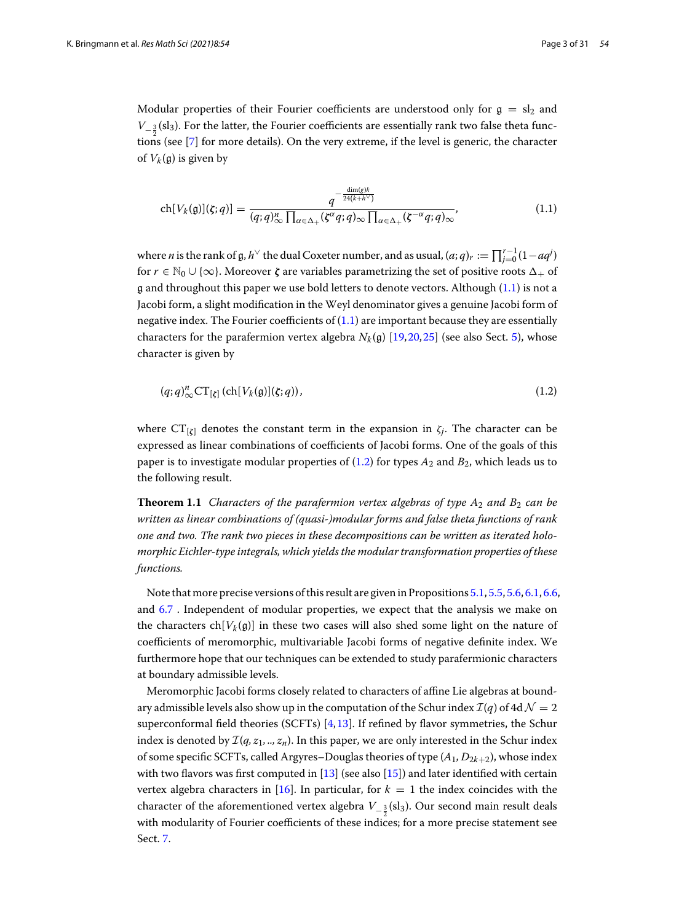Modular properties of their Fourier coefficients are understood only for  $g = sl_2$  and *V*<sub>− 3</sub> (sl<sub>3</sub>). For the latter, the Fourier coefficients are essentially rank two false theta functions (see [\[7](#page-30-5)] for more details). On the very extreme, if the level is generic, the character of  $V_k(\mathfrak{g})$  is given by

<span id="page-2-0"></span>
$$
\operatorname{ch}[V_{k}(\mathfrak{g})](\zeta;q)] = \frac{q^{-\frac{\dim(g)k}{24(k+h^\vee)}}}{(q;q)_{\infty}^n \prod_{\alpha \in \Delta_+} (\zeta^{\alpha}q;q)_{\infty} \prod_{\alpha \in \Delta_+} (\zeta^{-\alpha}q;q)_{\infty}},\tag{1.1}
$$

ch[V<sub>k</sub>(g)]( $\zeta$ ; *q*)] =  $\frac{1}{(q;q)_{\infty}^{n}} \prod_{\alpha \in \Delta_{+}} (\zeta^{\alpha}q;q)_{\infty} \prod_{\alpha \in \Delta_{+}} (\zeta^{-\alpha}q;q)_{\infty}$ <sup>1</sup> (1.1)<br>where *n* is the rank of g, *h*<sup>√</sup> the dual Coxeter number, and as usual,  $(a;q)_r := \prod_{j=0}^{r-1} (1-aq^j)$ for  $r \in \mathbb{N}_0 \cup \{\infty\}$ . Moreover  $\zeta$  are variables parametrizing the set of positive roots  $\Delta_+$  of  $\alpha$  and throughout this paper we use bold letters to denote vectors. Although  $(1.1)$  is not a Jacobi form, a slight modification in the Weyl denominator gives a genuine Jacobi form of negative index. The Fourier coefficients of  $(1.1)$  are important because they are essentially characters for the parafermion vertex algebra  $N_k(\mathfrak{g})$  [\[19,](#page-30-10)[20,](#page-30-11)[25\]](#page-30-12) (see also Sect. [5\)](#page-9-0), whose character is given by

<span id="page-2-2"></span><span id="page-2-1"></span>
$$
(q;q)_{\infty}^n \mathbf{CT}_{[\zeta]}(\mathrm{ch}[V_k(\mathfrak{g})](\zeta;q)),\tag{1.2}
$$

where  $CT_{[\zeta]}$  denotes the constant term in the expansion in  $\zeta_j$ . The character can be expressed as linear combinations of coefficients of Jacobi forms. One of the goals of this paper is to investigate modular properties of [\(1.2\)](#page-2-1) for types *A*<sup>2</sup> and *B*2, which leads us to the following result.

**Theorem 1.1** *Characters of the parafermion vertex algebras of type*  $A_2$  *and*  $B_2$  *can be written as linear combinations of (quasi-)modular forms and false theta functions of rank one and two. The rank two pieces in these decompositions can be written as iterated holomorphic Eichler-type integrals, which yields the modular transformation properties of these functions.*

Note that more precise versions of this result are given in Propositions [5.1,](#page-11-0) [5.5,](#page-15-0) [5.6,](#page-15-1) [6.1,](#page-17-0) [6.6,](#page-25-0) and [6.7](#page-25-1) . Independent of modular properties, we expect that the analysis we make on the characters ch $[V_k(\mathfrak{g})]$  in these two cases will also shed some light on the nature of coefficients of meromorphic, multivariable Jacobi forms of negative definite index. We furthermore hope that our techniques can be extended to study parafermionic characters at boundary admissible levels.

<span id="page-2-3"></span>Meromorphic Jacobi forms closely related to characters of affine Lie algebras at boundary admissible levels also show up in the computation of the Schur index  $\mathcal{I}(q)$  of 4d  $\mathcal{N}=2$ superconformal field theories (SCFTs) [\[4,](#page-30-13)[13\]](#page-30-14). If refined by flavor symmetries, the Schur index is denoted by *I*(*q, z*1*, .., zn*). In this paper, we are only interested in the Schur index of some specific SCFTs, called Argyres–Douglas theories of type (*A*1*, D*2*k*+2), whose index with two flavors was first computed in  $[13]$  $[13]$  (see also  $[15]$ ) and later identified with certain vertex algebra characters in [\[16\]](#page-30-16). In particular, for  $k = 1$  the index coincides with the character of the aforementioned vertex algebra  $V_{-\frac{3}{2}}(\mathrm{sl}_3)$ . Our second main result deals with modularity of Fourier coefficients of these indices; for a more precise statement see Sect. [7.](#page-26-0)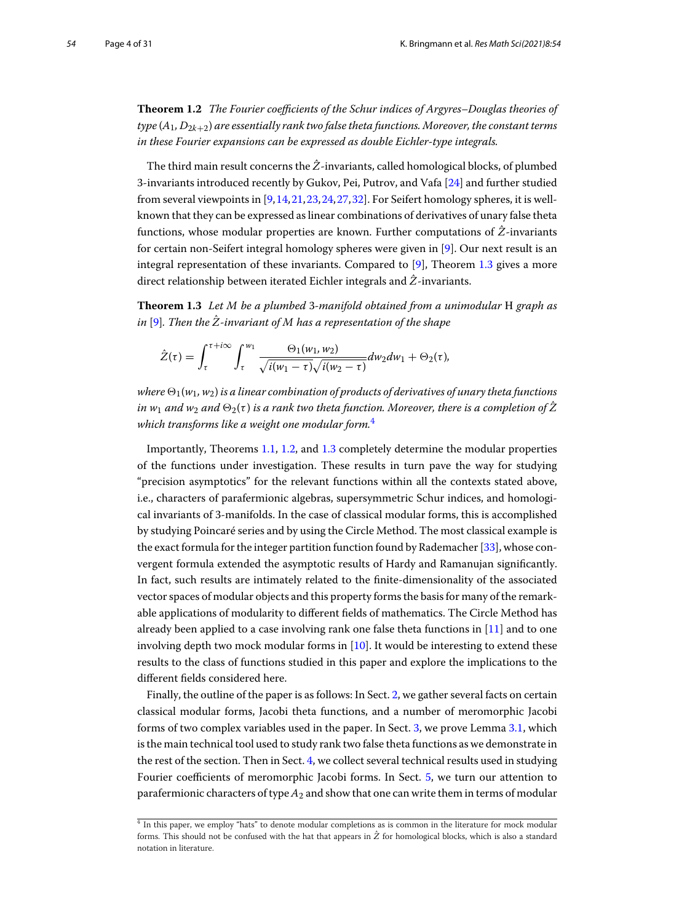**Theorem 1.2** *The Fourier coefficients of the Schur indices of Argyres–Douglas theories of type* (*A*1*, D*2*k*+2) *are essentially rank two false theta functions. Moreover, the constant terms in these Fourier expansions can be expressed as double Eichler-type integrals.*

The third main result concerns the  $\hat{Z}$ -invariants, called homological blocks, of plumbed 3-invariants introduced recently by Gukov, Pei, Putrov, and Vafa [\[24](#page-30-17)] and further studied from several viewpoints in [\[9,](#page-30-18)[14,](#page-30-19)[21,](#page-30-20)[23,](#page-30-21)[24,](#page-30-17)[27,](#page-30-22)[32\]](#page-30-23). For Seifert homology spheres, it is wellknown that they can be expressed as linear combinations of derivatives of unary false theta functions, whose modular properties are known. Further computations of *Z*ˆ-invariants for certain non-Seifert integral homology spheres were given in [\[9](#page-30-18)]. Our next result is an integral representation of these invariants. Compared to [\[9](#page-30-18)], Theorem [1.3](#page-3-0) gives a more direct relationship between iterated Eichler integrals and *Z*ˆ-invariants.

**Theorem 1.3** *Let M be a plumbed* 3*-manifold obtained from a unimodular* H *graph as*  $i$ n [\[9](#page-30-18)]. Then the  $\hat{\mathnormal{Z}}$ -invariant of M has a representation of the shape

<span id="page-3-0"></span>
$$
\hat{Z}(\tau) = \int_{\tau}^{\tau + i\infty} \int_{\tau}^{w_1} \frac{\Theta_1(w_1, w_2)}{\sqrt{i(w_1 - \tau)}\sqrt{i(w_2 - \tau)}} dw_2 dw_1 + \Theta_2(\tau),
$$

*where*  $\Theta_1(w_1, w_2)$  *is a linear combination of products of derivatives of unary theta functions in w*<sub>1</sub> and w<sub>2</sub> and  $\Theta_2(\tau)$  *is a rank two theta function. Moreover, there is a completion of*  $\hat{Z}$ *which transforms like a weight one modular form.*[4](#page-3-1)

Importantly, Theorems [1.1,](#page-2-2) [1.2,](#page-2-3) and [1.3](#page-3-0) completely determine the modular properties of the functions under investigation. These results in turn pave the way for studying "precision asymptotics" for the relevant functions within all the contexts stated above, i.e., characters of parafermionic algebras, supersymmetric Schur indices, and homological invariants of 3-manifolds. In the case of classical modular forms, this is accomplished by studying Poincaré series and by using the Circle Method. The most classical example is the exact formula for the integer partition function found by Rademacher [\[33\]](#page-30-24), whose convergent formula extended the asymptotic results of Hardy and Ramanujan significantly. In fact, such results are intimately related to the finite-dimensionality of the associated vector spaces of modular objects and this property forms the basis for many of the remarkable applications of modularity to different fields of mathematics. The Circle Method has already been applied to a case involving rank one false theta functions in  $[11]$  $[11]$  and to one involving depth two mock modular forms in [\[10](#page-30-25)]. It would be interesting to extend these results to the class of functions studied in this paper and explore the implications to the different fields considered here.

Finally, the outline of the paper is as follows: In Sect. [2,](#page-4-0) we gather several facts on certain classical modular forms, Jacobi theta functions, and a number of meromorphic Jacobi forms of two complex variables used in the paper. In Sect. [3,](#page-6-1) we prove Lemma [3.1,](#page-6-0) which is the main technical tool used to study rank two false theta functions as we demonstrate in the rest of the section. Then in Sect. [4,](#page-8-0) we collect several technical results used in studying Fourier coefficients of meromorphic Jacobi forms. In Sect. [5,](#page-9-0) we turn our attention to parafermionic characters of type*A*<sup>2</sup> and show that one can write them in terms of modular

<span id="page-3-1"></span><sup>4</sup> In this paper, we employ "hats" to denote modular completions as is common in the literature for mock modular forms. This should not be confused with the hat that appears in  $\hat{Z}$  for homological blocks, which is also a standard notation in literature.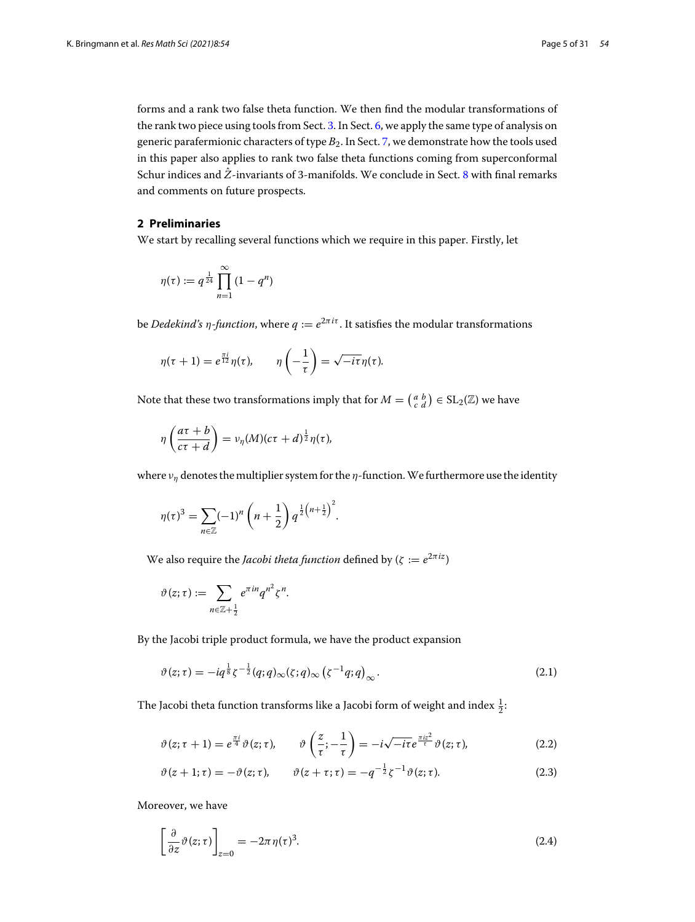forms and a rank two false theta function. We then find the modular transformations of the rank two piece using tools from Sect. [3.](#page-6-1) In Sect. [6,](#page-16-0) we apply the same type of analysis on generic parafermionic characters of type  $B_2$ . In Sect. [7,](#page-26-0) we demonstrate how the tools used in this paper also applies to rank two false theta functions coming from superconformal Schur indices and *Z*ˆ-invariants of 3-manifolds. We conclude in Sect. [8](#page-29-0) with final remarks and comments on future prospects.

#### <span id="page-4-0"></span>**2 Preliminaries**

We start by recalling several functions which we require in this paper. Firstly, let<br>  $n(\tau) := q^{\frac{1}{24}} \prod_{n=1}^{\infty} (1 - q^n)$ 

$$
\eta(\tau) := q^{\frac{1}{24}} \prod_{n=1}^{\infty} (1 - q^n)
$$

be *Dedekind's*  $\eta$ -function, where  $q := e^{2\pi i \tau}$ . It satisfies the modular transformations

$$
\eta(\tau + 1) = e^{\frac{\pi i}{12}} \eta(\tau), \qquad \eta\left(-\frac{1}{\tau}\right) = \sqrt{-i\tau} \eta(\tau).
$$
  
Note that these two transformations imply that for  $M = \begin{pmatrix} a & b \\ c & d \end{pmatrix} \in SL_2(\mathbb{Z})$  we have

$$
\eta\left(\frac{a\tau+b}{c\tau+d}\right)=\nu_{\eta}(M)(c\tau+d)^{\frac{1}{2}}\eta(\tau),
$$

where  $v_{\eta}$  denotes the multiplier system for the  $\eta$ -function. We furthermore use the identity<br>  $\eta(\tau)^3 = \sum (-1)^n \left( n + \frac{1}{2} \right) q^{\frac{1}{2} \left( n + \frac{1}{2} \right)^2}$ .

$$
\eta(\tau)^3 = \sum_{n \in \mathbb{Z}} (-1)^n \left( n + \frac{1}{2} \right) q^{\frac{1}{2} \left( n + \frac{1}{2} \right)^2}.
$$

We also require the *Jacobi theta function* defined by  $(\zeta := e^{2\pi i z})$ 

e also require the *Jacobi the*  

$$
\vartheta(z;\tau) := \sum_{n \in \mathbb{Z}+\frac{1}{2}} e^{\pi i n} q^{n^2} \zeta^n.
$$

By the Jacobi triple product formula, we have the product expansion

<span id="page-4-4"></span>
$$
\vartheta(z;\tau) = -iq^{\frac{1}{8}}\zeta^{-\frac{1}{2}}(q;q)_{\infty}(\zeta;q)_{\infty}(\zeta^{-1}q;q)_{\infty}.
$$
\n(2.1)

The Jacobi theta function transforms like a Jacobi form of weight and index  $\frac{1}{2}$ :

<span id="page-4-1"></span>
$$
\vartheta(z;\tau+1) = e^{\frac{\pi i}{4}} \vartheta(z;\tau), \qquad \vartheta\left(\frac{z}{\tau};-\frac{1}{\tau}\right) = -i\sqrt{-i\tau} e^{\frac{\pi i z^2}{\tau}} \vartheta(z;\tau), \tag{2.2}
$$

<span id="page-4-3"></span><span id="page-4-2"></span>
$$
\vartheta(z+1;\tau) = -\vartheta(z;\tau), \qquad \vartheta(z+\tau;\tau) = -q^{-\frac{1}{2}}\zeta^{-1}\vartheta(z;\tau). \tag{2.3}
$$

Moreover, we have

$$
\left[\frac{\partial}{\partial z}\vartheta(z;\tau)\right]_{z=0} = -2\pi\,\eta(\tau)^3.
$$
\n(2.4)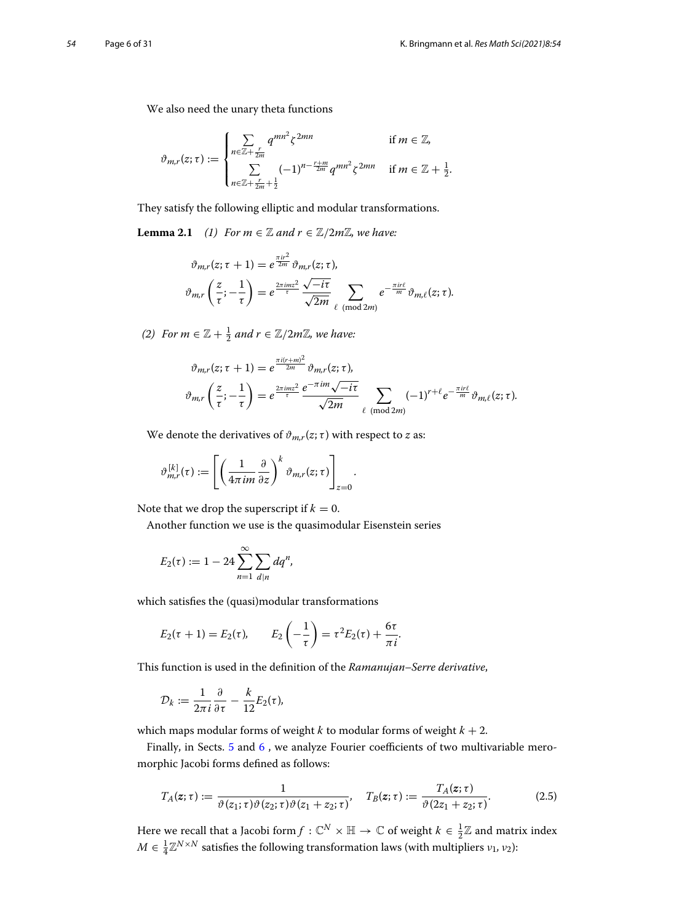We also need the unary theta functions

$$
\vartheta_{m,r}(z;\tau) := \begin{cases} \sum_{n \in \mathbb{Z} + \frac{r}{2m}} q^{mn^2} \zeta^{2mn} & \text{if } m \in \mathbb{Z}, \\ \sum_{n \in \mathbb{Z} + \frac{r}{2m} + \frac{1}{2}} (-1)^{n - \frac{r+m}{2m}} q^{mn^2} \zeta^{2mn} & \text{if } m \in \mathbb{Z} + \frac{1}{2}. \end{cases}
$$

They satisfy the following elliptic and modular transformations.

**Lemma 2.1** *(1)* For  $m \in \mathbb{Z}$  and  $r \in \mathbb{Z}/2m\mathbb{Z}$ , we have:

<span id="page-5-1"></span>
$$
\vartheta_{m,r}(z;\tau+1) = e^{\frac{\pi ir^2}{2m}} \vartheta_{m,r}(z;\tau),
$$

$$
\vartheta_{m,r}\left(\frac{z}{\tau}; -\frac{1}{\tau}\right) = e^{\frac{2\pi imz^2}{\tau}} \frac{\sqrt{-i\tau}}{\sqrt{2m}} \sum_{\ell \pmod{2m}} e^{-\frac{\pi ir\ell}{m}} \vartheta_{m,\ell}(z;\tau).
$$

*(2) For m* ∈  $\mathbb{Z}$  +  $\frac{1}{2}$  *and r* ∈  $\mathbb{Z}/2m\mathbb{Z}$ *, we have:* 

$$
\vartheta_{m,r}(z;\tau+1) = e^{\frac{\pi i (r+m)^2}{2m}} \vartheta_{m,r}(z;\tau),
$$
  

$$
\vartheta_{m,r}\left(\frac{z}{\tau};-\frac{1}{\tau}\right) = e^{\frac{2\pi i m z^2}{\tau}} \frac{e^{-\pi i m} \sqrt{-i\tau}}{\sqrt{2m}} \sum_{\ell \pmod{2m}} (-1)^{r+\ell} e^{-\frac{\pi i r \ell}{m}} \vartheta_{m,\ell}(z;\tau).
$$

We denote the derivatives of  $\vartheta_{m,r}(z;\tau)$  with respect to *z* as:

$$
\vartheta_{m,r}^{[k]}(\tau) := \left[ \left( \frac{1}{4\pi im} \frac{\partial}{\partial z} \right)^k \vartheta_{m,r}(z;\tau) \right]_{z=0}.
$$

Note that we drop the superscript if  $k = 0$ .

Another function we use is the quasimodular Eisenstein series

other function we use is the  

$$
E_2(\tau) := 1 - 24 \sum_{n=1}^{\infty} \sum_{d|n} dq^n,
$$

which satisfies the (quasi)modular transformations

$$
E_2(\tau+1) = E_2(\tau), \qquad E_2\left(-\frac{1}{\tau}\right) = \tau^2 E_2(\tau) + \frac{6\tau}{\pi i}.
$$

This function is used in the definition of the *Ramanujan–Serre derivative*,

$$
\mathcal{D}_k := \frac{1}{2\pi i} \frac{\partial}{\partial \tau} - \frac{k}{12} E_2(\tau),
$$

which maps modular forms of weight *k* to modular forms of weight  $k + 2$ .

Finally, in Sects. [5](#page-9-0) and [6](#page-16-0) , we analyze Fourier coefficients of two multivariable meromorphic Jacobi forms defined as follows:

<span id="page-5-0"></span>
$$
T_A(z;\tau) := \frac{1}{\vartheta(z_1;\tau)\vartheta(z_2;\tau)\vartheta(z_1+z_2;\tau)}, \quad T_B(z;\tau) := \frac{T_A(z;\tau)}{\vartheta(2z_1+z_2;\tau)}.
$$
(2.5)

Here we recall that a Jacobi form $f:\mathbb{C}^N\times\mathbb{H}\to\mathbb{C}$  of weight  $k\in\frac{1}{2}\mathbb{Z}$  and matrix index  $M \in \frac{1}{4} \mathbb{Z}^{N \times N}$  satisfies the following transformation laws (with multipliers  $v_1$ ,  $v_2$ ):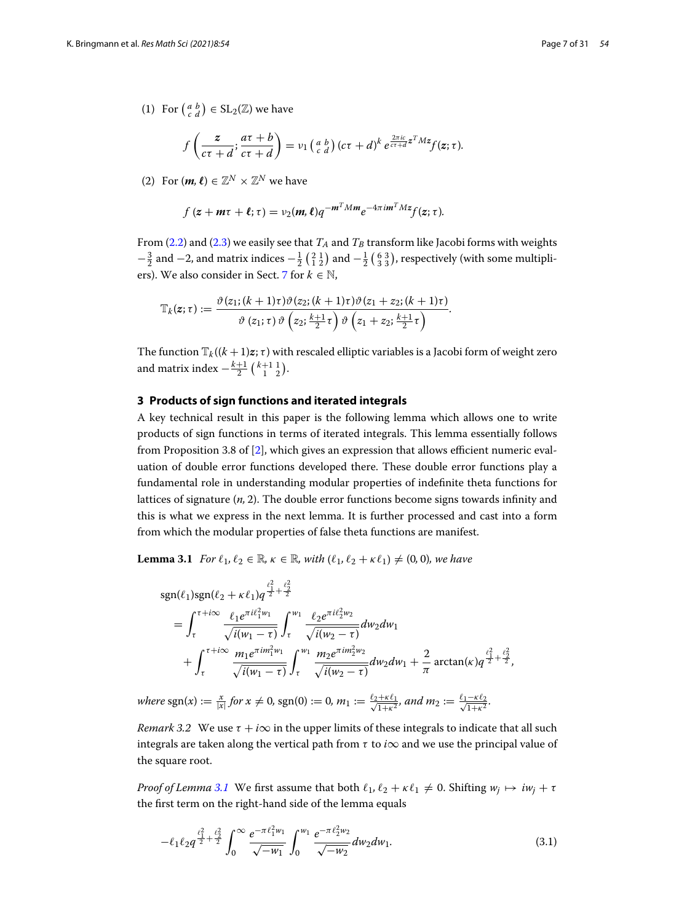(1) For  $\begin{pmatrix} a & b \\ c & d \end{pmatrix} \in \mathrm{SL}_2(\mathbb{Z})$  we have

$$
f\left(\frac{z}{c\tau+d};\frac{a\tau+b}{c\tau+d}\right)=v_1\left(\begin{matrix}a&b\\c&d\end{matrix}\right)(c\tau+d)^k e^{\frac{2\pi ic}{c\tau+d}z^T M z}f(z;\tau).
$$

(2) For  $(m, \ell) \in \mathbb{Z}^N \times \mathbb{Z}^N$  we have

$$
f(z + m\tau + \ell; \tau) = v_2(m, \ell)q^{-m^T M m} e^{-4\pi i m^T M z} f(z; \tau).
$$

From  $(2.2)$  and  $(2.3)$  we easily see that  $T_A$  and  $T_B$  transform like Jacobi forms with weights  $f(z + m\tau + \ell; \tau) = \nu_2(m, \ell) q^{-m - m m} e^{-\frac{m\tau}{2}} f(z; \tau).$ <br>From (2.2) and (2.3) we easily see that  $T_A$  and  $T_B$  transform like Jacobi forms with weights  $-\frac{3}{2}$  and  $-2$ , and matrix indices  $-\frac{1}{2}$  ( $\frac{2}{1}$ ,  $\frac{1}{2}$ ) and ers). We also consider in Sect. [7](#page-26-0) for  $k \in \mathbb{N}$ ,

$$
\mathbb{T}_{k}(z;\tau):=\frac{\vartheta(z_{1};(k+1)\tau)\vartheta(z_{2};(k+1)\tau)\vartheta(z_{1}+z_{2};(k+1)\tau)}{\vartheta(z_{1};\tau)\vartheta(z_{2};\frac{k+1}{2}\tau)\vartheta(z_{1}+z_{2};\frac{k+1}{2}\tau)}.
$$

The function  $\mathbb{T}_k((k+1)\mathbf{z}; \tau)$  with rescaled elliptic variables is a Jacobi form of weight zero and matrix index  $-\frac{k+1}{2} \binom{k+1}{1-2}$ .

#### <span id="page-6-1"></span>**3 Products of sign functions and iterated integrals**

A key technical result in this paper is the following lemma which allows one to write products of sign functions in terms of iterated integrals. This lemma essentially follows from Proposition 3.8 of [\[2](#page-30-4)], which gives an expression that allows efficient numeric evaluation of double error functions developed there. These double error functions play a fundamental role in understanding modular properties of indefinite theta functions for lattices of signature (*n,* 2). The double error functions become signs towards infinity and this is what we express in the next lemma. It is further processed and cast into a form from which the modular properties of false theta functions are manifest.

<span id="page-6-0"></span>**Lemma 3.1** *For*  $\ell_1, \ell_2 \in \mathbb{R}$ *,*  $\kappa \in \mathbb{R}$ *, with*  $(\ell_1, \ell_2 + \kappa \ell_1) \neq (0, 0)$ *, we have* 

$$
sgn(\ell_1)sgn(\ell_2 + \kappa \ell_1)q^{\frac{\ell_1^2}{2} + \frac{\ell_2^2}{2}}
$$
\n
$$
= \int_{\tau}^{\tau + i\infty} \frac{\ell_1 e^{\pi i \ell_1^2 w_1}}{\sqrt{i(w_1 - \tau)}} \int_{\tau}^{w_1} \frac{\ell_2 e^{\pi i \ell_2^2 w_2}}{\sqrt{i(w_2 - \tau)}} dw_2 dw_1 + \int_{\tau}^{\tau + i\infty} \frac{m_1 e^{\pi i m_1^2 w_1}}{\sqrt{i(w_1 - \tau)}} \int_{\tau}^{w_1} \frac{m_2 e^{\pi i m_2^2 w_2}}{\sqrt{i(w_2 - \tau)}} dw_2 dw_1 + \frac{2}{\pi} \arctan(\kappa)q^{\frac{\ell_1^2}{2} + \frac{\ell_2^2}{2}},
$$

 $where \text{ sgn}(x) := \frac{x}{|x|} for x \neq 0, \text{ sgn}(0) := 0, m_1 := \frac{\ell_2 + \kappa \ell_1}{\sqrt{1 + \kappa^2}}, and m_2 := \frac{\ell_1 - \kappa \ell_2}{\sqrt{1 + \kappa^2}}.$ 

*Remark 3.2* We use  $\tau + i\infty$  in the upper limits of these integrals to indicate that all such integrals are taken along the vertical path from  $\tau$  to *i* $\infty$  and we use the principal value of the square root.

*Proof of Lemma* [3.1](#page-6-0) We first assume that both  $\ell_1, \ell_2 + \kappa \ell_1 \neq 0$ . Shifting  $w_j \mapsto iw_j + \tau$ the first term on the right-hand side of the lemma equals

<span id="page-6-2"></span>
$$
-\ell_1\ell_2 q^{\frac{\ell_1^2}{2}+\frac{\ell_2^2}{2}}\int_0^\infty \frac{e^{-\pi\ell_1^2 w_1}}{\sqrt{-w_1}}\int_0^{w_1}\frac{e^{-\pi\ell_2^2 w_2}}{\sqrt{-w_2}}dw_2dw_1.
$$
\n(3.1)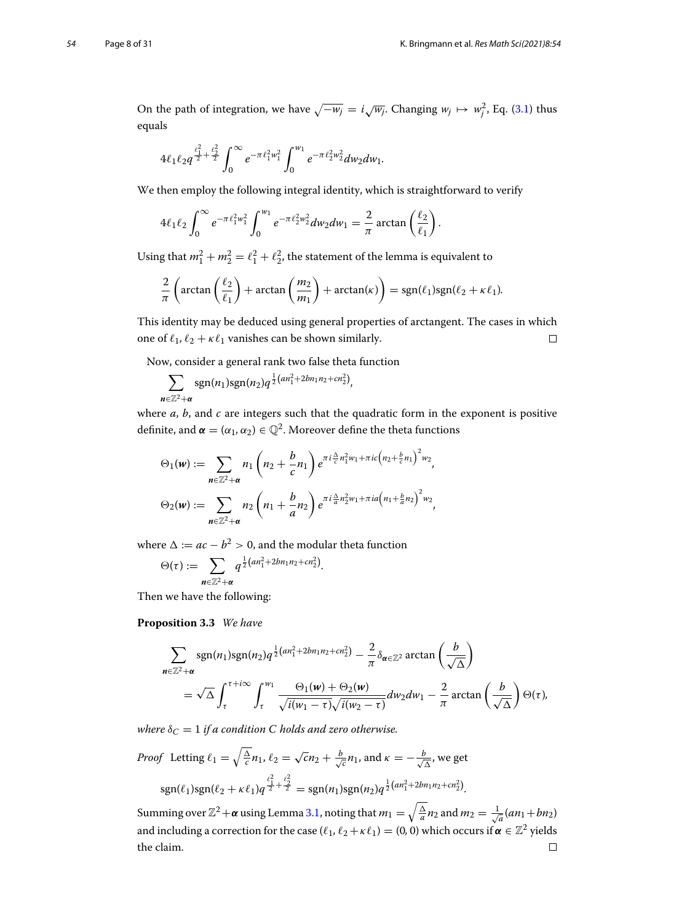On the path of integration, we have  $\sqrt{-w_j} = i\sqrt{w_j}$ . Changing  $w_j \mapsto w_j^2$ , Eq. [\(3.1\)](#page-6-2) thus equals

$$
4\ell_1\ell_2q^{\frac{\ell_1^2}{2}+\frac{\ell_2^2}{2}}\int_0^\infty e^{-\pi\ell_1^2w_1^2}\int_0^{w_1}e^{-\pi\ell_2^2w_2^2}dw_2dw_1.
$$

We then employ the following integral identity, which is straightforward to verify

$$
J_0
$$
  
then employ the following integral identity, which is straight  

$$
4\ell_1\ell_2 \int_0^\infty e^{-\pi \ell_1^2 w_1^2} \int_0^{w_1} e^{-\pi \ell_2^2 w_2^2} dw_2 dw_1 = \frac{2}{\pi} \arctan\left(\frac{\ell_2}{\ell_1}\right).
$$

Using that  $m_1^2 + m_2^2 = \ell_1^2 + \ell_2^2$ , the statement of the lemma is equivalent to

$$
\int_0^{2\pi} \left( \arctan\left(\frac{\ell_2}{\ell_1}\right) + \arctan\left(\frac{m_2}{m_1}\right) \right) \, d\mathbf{r}
$$
\n
$$
\int_0^{2\pi} \left( \arctan\left(\frac{\ell_2}{\ell_1}\right) + \arctan\left(\frac{m_2}{m_1}\right) + \arctan(\kappa) \right) = \operatorname{sgn}(\ell_1) \operatorname{sgn}(\ell_2 + \kappa \ell_1).
$$

This identity may be deduced using general properties of arctangent. The cases in which one of  $\ell_1, \ell_2 + \kappa \ell_1$  vanishes can be shown similarly.  $\Box$ 

Now, consider a general rank two false theta function

$$
\sum_{n\in\mathbb{Z}^2+\alpha} \operatorname{sgn}(n_1) \operatorname{sgn}(n_2) q^{\frac{1}{2}(an_1^2+2bn_1n_2+cn_2^2)},
$$

where *a*, *b*, and *c* are integers such that the quadratic form in the exponent is positive definite, and  $\boldsymbol{\alpha} = (\alpha_1, \alpha_2) \in \mathbb{Q}^2$ . Moreover define the theta functions *e a, b,* and *c* are integers such that the quadratic form<br>ite, and  $\alpha = (\alpha_1, \alpha_2) \in \mathbb{Q}^2$ . Moreover define the theta f<br> $\Theta_1(w) := \sum n_1 \begin{pmatrix} h_1 + \frac{b}{c}n_1 \\ n_2 + \frac{b}{c}n_1 \end{pmatrix} e^{\pi i \frac{\Delta}{c} n_1^2 w_1 + \pi i c \left(n_2 + \frac{b}{c}n_1\right$ 

$$
\Theta_1(\boldsymbol{w}) := \sum_{\boldsymbol{n} \in \mathbb{Z}^2 + \boldsymbol{\alpha}} n_1 \left( n_2 + \frac{b}{c} n_1 \right) e^{\pi i \frac{\Delta}{c} n_1^2 w_1 + \pi i c \left( n_2 + \frac{b}{c} n_1 \right)^2 w_2},
$$

$$
\Theta_2(\boldsymbol{w}) := \sum_{\boldsymbol{n} \in \mathbb{Z}^2 + \boldsymbol{\alpha}} n_2 \left( n_1 + \frac{b}{a} n_2 \right) e^{\pi i \frac{\Delta}{a} n_2^2 w_1 + \pi i a \left( n_1 + \frac{b}{a} n_2 \right)^2 w_2},
$$

where  $\Delta := ac - b^2 > 0$ , and the modular theta function

$$
n \in \mathbb{Z}^2 + \alpha
$$
  
we  $\Delta := ac - b^2 > 0$ , and the modu  
 $\Theta(\tau) := \sum_{n \in \mathbb{Z}^2 + \alpha} q^{\frac{1}{2}(an_1^2 + 2bn_1n_2 + cn_2^2)}$ .

<span id="page-7-0"></span>Then we have the following:

**Proposition 3.3** *We have*

**position 3.3** We have  
\n
$$
\sum_{n \in \mathbb{Z}^2 + \alpha} \text{sgn}(n_1) \text{sgn}(n_2) q^{\frac{1}{2}(an_1^2 + 2bn_1n_2 + cn_2^2)} - \frac{2}{\pi} \delta_{\alpha \in \mathbb{Z}^2} \arctan\left(\frac{b}{\sqrt{\Delta}}\right)
$$
\n
$$
= \sqrt{\Delta} \int_{\tau}^{\tau + i\infty} \int_{\tau}^{w_1} \frac{\Theta_1(w) + \Theta_2(w)}{\sqrt{i(w_1 - \tau)}\sqrt{i(w_2 - \tau)}} dw_2 dw_1 - \frac{2}{\pi} \arctan\left(\frac{b}{\sqrt{\Delta}}\right) \Theta(\tau),
$$

*where*  $\delta_C = 1$  *if a condition C holds and zero otherwise.* 

*Proof* Letting  $\ell_1 = \sqrt{\frac{\Delta}{c}} n_1$ ,  $\ell_2 = \sqrt{c} n_2 + \frac{b}{\sqrt{c}} n_1$ , and  $\kappa = -\frac{b}{\sqrt{\Delta}}$ , we get  $\ell_1^2$ 

$$
sgn(\ell_1)sgn(\ell_2 + \kappa \ell_1)q^{\frac{\ell_1^2}{2} + \frac{\ell_2^2}{2}} = sgn(n_1)sgn(n_2)q^{\frac{1}{2}(an_1^2 + 2bn_1n_2 + cn_2^2)}.
$$

Summing over  $\mathbb{Z}^2 + \alpha$  using Lemma [3.1,](#page-6-0) noting that  $m_1 = \sqrt{\frac{\Delta}{a}} n_2$  and  $m_2 = \frac{1}{\sqrt{a}}(an_1 + bn_2)$ and including a correction for the case  $(\ell_1, \ell_2 + \kappa \ell_1) = (0, 0)$  which occurs if  $\alpha \in \mathbb{Z}^2$  yields the claim. $\Box$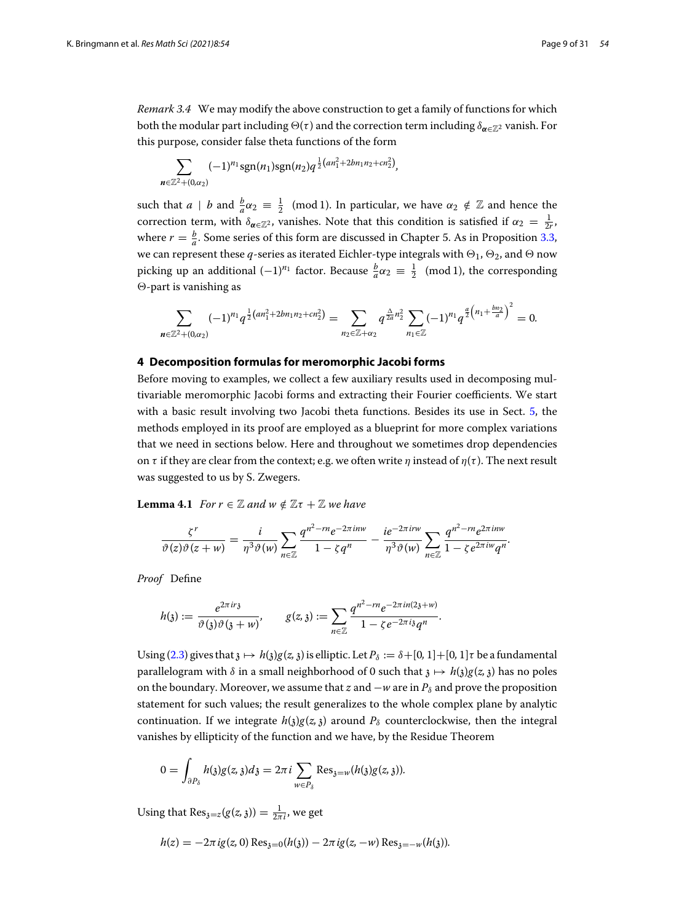*Remark 3.4* We may modify the above construction to get a family of functions for which both the modular part including  $\Theta(\tau)$  and the correction term including  $\delta_{\alpha \in \mathbb{Z}^2}$  vanish. For this purpose, consider false theta functions of the form

$$
\sum_{n\in\mathbb{Z}^2+(0,\alpha_2)} (-1)^{n_1} \text{sgn}(n_1) \text{sgn}(n_2) q^{\frac{1}{2}(an_1^2+2bn_1n_2+cn_2^2)},
$$

such that  $a \, | \, b$  and  $\frac{b}{a}a_2 \equiv \frac{1}{2} \pmod{1}$ . In particular, we have  $\alpha_2 \notin \mathbb{Z}$  and hence the correction term, with  $\delta_{\alpha \in \mathbb{Z}^2}$ , vanishes. Note that this condition is satisfied if  $\alpha_2 = \frac{1}{2r}$ , where  $r = \frac{b}{a}$ . Some series of this form are discussed in Chapter 5. As in Proposition [3.3,](#page-7-0) we can represent these  $q$ -series as iterated Eichler-type integrals with  $\Theta_1$ ,  $\Theta_2$ , and  $\Theta$  now picking up an additional  $(-1)^{n_1}$  factor. Because  $\frac{b}{a}\alpha_2 \equiv \frac{1}{2} \pmod{1}$ , the corresponding<br>
∴  $\Theta$ -part is vanishing as<br>  $\sum ( -1)^{n_1} q^{\frac{1}{2}(an_1^2 + 2bn_1n_2 + cn_2^2)} = \sum q^{\frac{\Delta}{2a}n_2^2} \sum (-1)^{n_1} q^{\frac{a}{2}(n_1 + \frac{bn_2}{$  $\Theta$ -part is vanishing as

$$
\sum_{n\in\mathbb{Z}^2+(0,\alpha_2)} (-1)^{n_1}q^{\frac{1}{2}(an_1^2+2bn_1n_2+cn_2^2)}=\sum_{n_2\in\mathbb{Z}+\alpha_2}q^{\frac{\Delta}{2a}n_2^2}\sum_{n_1\in\mathbb{Z}} (-1)^{n_1}q^{\frac{a}{2}\left(n_1+\frac{bn_2}{a}\right)^2}=0.
$$

### <span id="page-8-0"></span>**4 Decomposition formulas for meromorphic Jacobi forms**

Before moving to examples, we collect a few auxiliary results used in decomposing multivariable meromorphic Jacobi forms and extracting their Fourier coefficients. We start with a basic result involving two Jacobi theta functions. Besides its use in Sect. [5,](#page-9-0) the methods employed in its proof are employed as a blueprint for more complex variations that we need in sections below. Here and throughout we sometimes drop dependencies on  $\tau$  if they are clear from the context; e.g. we often write  $\eta$  instead of  $\eta(\tau)$ . The next result was suggested to us by S. Zwegers.

<span id="page-8-1"></span>**Lemma 4.1** *For*  $r \in \mathbb{Z}$  *and*  $w \notin \mathbb{Z}\tau + \mathbb{Z}$  *we have* 

$$
\frac{\zeta^r}{\vartheta(z)\vartheta(z+w)}=\frac{i}{\eta^3\vartheta(w)}\sum_{n\in\mathbb{Z}}\frac{q^{n^2-rn}e^{-2\pi inw}}{1-\zeta q^n}-\frac{ie^{-2\pi irw}}{\eta^3\vartheta(w)}\sum_{n\in\mathbb{Z}}\frac{q^{n^2-rn}e^{2\pi inw}}{1-\zeta e^{2\pi i w}q^n}.
$$

*Proof* Define

f Define  
\n
$$
h(\mathfrak{z}) := \frac{e^{2\pi i r \mathfrak{z}}}{\vartheta(\mathfrak{z})\vartheta(\mathfrak{z}+w)}, \qquad g(z, \mathfrak{z}) := \sum_{n \in \mathbb{Z}} \frac{q^{n^2 - rn} e^{-2\pi i n (2\mathfrak{z}+w)}}{1 - \zeta e^{-2\pi i \mathfrak{z}} q^n}.
$$

Using [\(2.3\)](#page-4-2) gives that  $\chi \mapsto h(\chi)g(z, \chi)$  is elliptic. Let  $P_\delta := \delta + [0, 1] + [0, 1]\tau$  be a fundamental parallelogram with  $\delta$  in a small neighborhood of 0 such that  $\delta \mapsto h(\delta)g(z, \delta)$  has no poles on the boundary. Moreover, we assume that *z* and −*w* are in  $P_\delta$  and prove the proposition statement for such values; the result generalizes to the whole complex plane by analytic continuation. If we integrate  $h(\lambda)g(z, \lambda)$  around  $P_\delta$  counterclockwise, then the integral vanishes by ellipticity of the function and we have, by the Residue Theorem

$$
0 = \int_{\partial P_\delta} h(\mathfrak{z}) g(z, \mathfrak{z}) d\mathfrak{z} = 2\pi i \sum_{w \in P_\delta} \text{Res}_{\mathfrak{z} = w} (h(\mathfrak{z}) g(z, \mathfrak{z})).
$$

Using that  $\text{Res}_{\mathfrak{z}=z}(g(z,\mathfrak{z})) = \frac{1}{2\pi i}$ , we get

$$
h(z) = -2\pi i g(z, 0) \operatorname{Res}_{3=0}(h(3)) - 2\pi i g(z, -w) \operatorname{Res}_{3=-w}(h(3)).
$$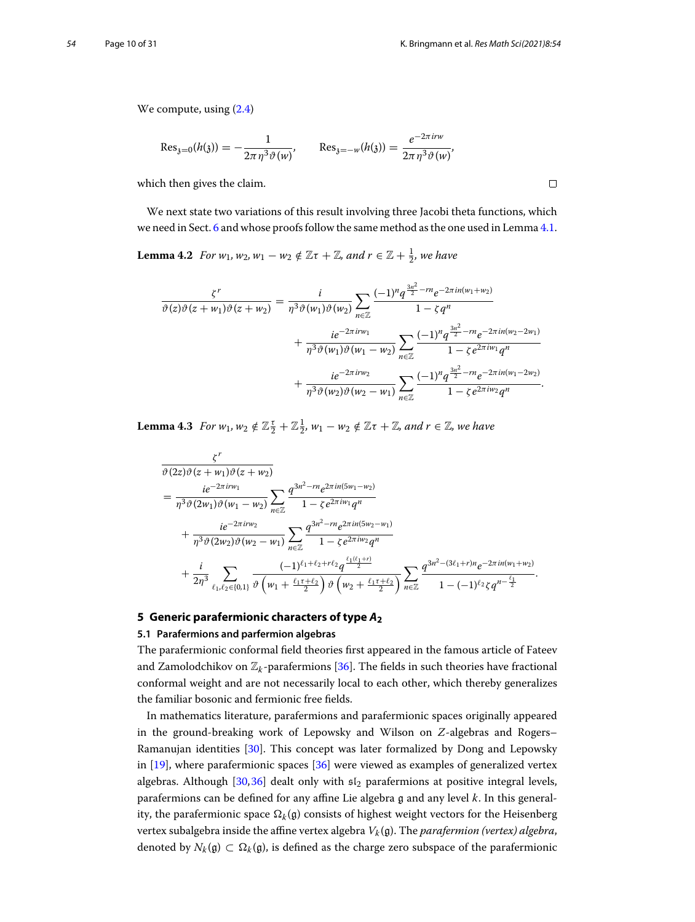We compute, using  $(2.4)$ 

$$
\text{Res}_{\mathfrak{z}=0}(h(\mathfrak{z})) = -\frac{1}{2\pi \eta^3 \vartheta(w)}, \qquad \text{Res}_{\mathfrak{z}=-w}(h(\mathfrak{z})) = \frac{e^{-2\pi i r w}}{2\pi \eta^3 \vartheta(w)},
$$

which then gives the claim.

<span id="page-9-1"></span>We next state two variations of this result involving three Jacobi theta functions, which we need in Sect. [6](#page-16-0) and whose proofs follow the same method as the one used in Lemma [4.1.](#page-8-1)

**Lemma 4.2** *For*  $w_1$ *,*  $w_2$ *,*  $w_1 - w_2 \notin \mathbb{Z}\tau + \mathbb{Z}$ *, and*  $r \in \mathbb{Z} + \frac{1}{2}$ *, we have* 

$$
\frac{\zeta^{r}}{\vartheta(z)\vartheta(z+w_{1})\vartheta(z+w_{2})} = \frac{i}{\eta^{3}\vartheta(w_{1})\vartheta(w_{2})} \sum_{n\in\mathbb{Z}} \frac{(-1)^{n}q^{\frac{3n^{2}}{2}-rn}e^{-2\pi in(w_{1}+w_{2})}}{1-\zeta q^{n}} + \frac{ie^{-2\pi inw_{1}}}{\eta^{3}\vartheta(w_{1})\vartheta(w_{1}-w_{2})} \sum_{n\in\mathbb{Z}} \frac{(-1)^{n}q^{\frac{3n^{2}}{2}-rn}e^{-2\pi in(w_{2}-2w_{1})}}{1-\zeta e^{2\pi inw_{1}}q^{n}} + \frac{ie^{-2\pi inw_{2}}}{\eta^{3}\vartheta(w_{2})\vartheta(w_{2}-w_{1})} \sum_{n\in\mathbb{Z}} \frac{(-1)^{n}q^{\frac{3n^{2}}{2}-rn}e^{-2\pi in(w_{1}-2w_{2})}}{1-\zeta e^{2\pi inw_{2}}q^{n}}.
$$

<span id="page-9-2"></span>**Lemma 4.3** *For*  $w_1$ ,  $w_2 \notin \mathbb{Z}_2^{\tau} + \mathbb{Z}_2^{\tau}$ ,  $w_1 - w_2 \notin \mathbb{Z}\tau + \mathbb{Z}$ , and  $r \in \mathbb{Z}$ , we have

$$
\frac{\zeta^{r}}{\vartheta(2z)\vartheta(z+w_{1})\vartheta(z+w_{2})}
$$
\n
$$
= \frac{ie^{-2\pi i r w_{1}}}{\eta^{3}\vartheta(2w_{1})\vartheta(w_{1}-w_{2})} \sum_{n\in\mathbb{Z}} \frac{q^{3n^{2}-rn}e^{2\pi i n(5w_{1}-w_{2})}}{1-\zeta e^{2\pi i w_{1}}q^{n}} + \frac{ie^{-2\pi i r w_{2}}}{\eta^{3}\vartheta(2w_{2})\vartheta(w_{2}-w_{1})} \sum_{n\in\mathbb{Z}} \frac{q^{3n^{2}-rn}e^{2\pi i n(5w_{2}-w_{1})}}{1-\zeta e^{2\pi i w_{2}}q^{n}} + \frac{i}{2\eta^{3}} \sum_{\ell_{1},\ell_{2}\in\{0,1\}} \frac{(-1)^{\ell_{1}+\ell_{2}+r\ell_{2}}q^{\frac{\ell_{1}(\ell_{1}+r)}{2}}}{\vartheta(w_{1}+\frac{\ell_{1}\tau+\ell_{2}}{2})\vartheta(w_{2}+\frac{\ell_{1}\tau+\ell_{2}}{2})} \sum_{n\in\mathbb{Z}} \frac{q^{3n^{2}-(3\ell_{1}+r)n}e^{-2\pi i n(w_{1}+w_{2})}}{1-(-1)^{\ell_{2}}\zeta q^{n-\frac{\ell_{1}}{2}}}.
$$

## <span id="page-9-0"></span>**5 Generic parafermionic characters of type** *A***<sup>2</sup>**

#### **5.1 Parafermions and parfermion algebras**

The parafermionic conformal field theories first appeared in the famous article of Fateev and Zamolodchikov on  $\mathbb{Z}_k$ -parafermions [\[36](#page-30-26)]. The fields in such theories have fractional conformal weight and are not necessarily local to each other, which thereby generalizes the familiar bosonic and fermionic free fields.

In mathematics literature, parafermions and parafermionic spaces originally appeared in the ground-breaking work of Lepowsky and Wilson on *Z*-algebras and Rogers– Ramanujan identities [\[30](#page-30-27)]. This concept was later formalized by Dong and Lepowsky in [\[19\]](#page-30-10), where parafermionic spaces [\[36](#page-30-26)] were viewed as examples of generalized vertex algebras. Although [\[30](#page-30-27)[,36](#page-30-26)] dealt only with  $51<sub>2</sub>$  parafermions at positive integral levels, parafermions can be defined for any affine Lie algebra g and any level *<sup>k</sup>*. In this generality, the parafermionic space  $\Omega_k(\mathfrak{g})$  consists of highest weight vectors for the Heisenberg vertex subalgebra inside the affine vertex algebra *Vk* (g). The *parafermion (vertex) algebra*, denoted by  $N_k(\mathfrak{g}) \subset \Omega_k(\mathfrak{g})$ , is defined as the charge zero subspace of the parafermionic

 $\Box$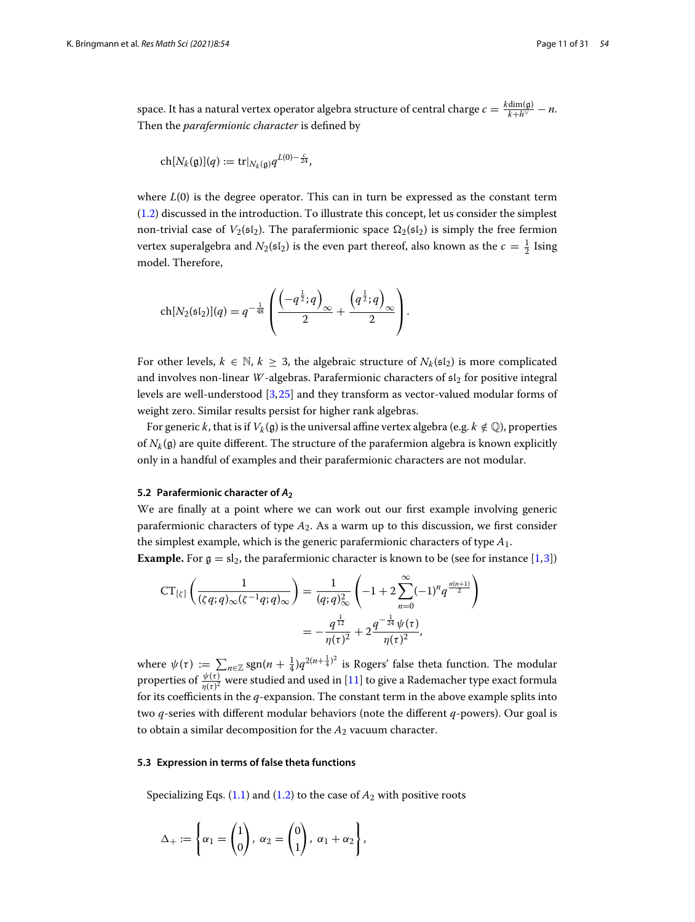space. It has a natural vertex operator algebra structure of central charge  $c = \frac{k \text{dim}(\mathfrak{g})}{k + h^\vee} - n$ . Then the *parafermionic character* is defined by

$$
\operatorname{ch}[N_k(\mathfrak{g})](q):=\operatorname{tr}|_{N_k(\mathfrak{g})}q^{L(0)-\frac{c}{24}},
$$

where  $L(0)$  is the degree operator. This can in turn be expressed as the constant term [\(1.2\)](#page-2-1) discussed in the introduction. To illustrate this concept, let us consider the simplest non-trivial case of  $V_2(\mathfrak{sl}_2)$ . The parafermionic space  $\Omega_2(\mathfrak{sl}_2)$  is simply the free fermion vertex superalgebra and  $N_2(\mathfrak{sl}_2)$  is the even part thereof, also known as the  $c = \frac{1}{2}$  Ising model. Therefore,

$$
\operatorname{ch}[N_2(\mathfrak{sl}_2)](q) = q^{-\frac{1}{48}} \left( \frac{\left(-q^{\frac{1}{2}}; q\right)_{\infty}}{2} + \frac{\left(q^{\frac{1}{2}}; q\right)_{\infty}}{2} \right).
$$

For other levels,  $k \in \mathbb{N}$ ,  $k \geq 3$ , the algebraic structure of  $N_k(\mathfrak{sl}_2)$  is more complicated and involves non-linear *W*-algebras. Parafermionic characters of  $s1<sub>2</sub>$  for positive integral levels are well-understood [\[3,](#page-30-28)[25\]](#page-30-12) and they transform as vector-valued modular forms of weight zero. Similar results persist for higher rank algebras.

For generic k, that is if  $V_k(\mathfrak{g})$  is the universal affine vertex algebra (e.g.  $k \notin \mathbb{Q}$ ), properties of  $N_k$ (g) are quite different. The structure of the parafermion algebra is known explicitly only in a handful of examples and their parafermionic characters are not modular.

#### <span id="page-10-0"></span>**5.2 Parafermionic character of** *A***<sup>2</sup>**

We are finally at a point where we can work out our first example involving generic parafermionic characters of type *A*2. As a warm up to this discussion, we first consider the simplest example, which is the generic parafermionic characters of type *A*1.

**Example.** For  $g = sl_2$ , the parafermionic character is known to be (see for instance [\[1](#page-30-29)[,3](#page-30-28)])

$$
CT_{\lbrack \zeta \rbrack} \left( \frac{1}{(\zeta q; q)_{\infty} (\zeta^{-1} q; q)_{\infty}} \right) = \frac{1}{(q; q)_{\infty}^2} \left( -1 + 2 \sum_{n=0}^{\infty} (-1)^n q^{\frac{n(n+1)}{2}} \right)
$$

$$
= -\frac{q^{\frac{1}{12}}}{\eta(\tau)^2} + 2 \frac{q^{-\frac{1}{24}} \psi(\tau)}{\eta(\tau)^2},
$$
where  $\psi(\tau) := \sum_{n \in \mathbb{Z}} \text{sgn}(n + \frac{1}{4}) q^{2(n + \frac{1}{4})^2}$  is Rogers' false theta function. The modular

properties of  $\frac{\psi(t)}{\eta(t)^2}$  were studied and used in [\[11](#page-30-3)] to give a Rademacher type exact formula for its coefficients in the *q*-expansion. The constant term in the above example splits into two *q*-series with different modular behaviors (note the different *q*-powers). Our goal is to obtain a similar decomposition for the *A*<sup>2</sup> vacuum character.

#### **5.3 Expression in terms of false theta functions**

Specializing Eqs.  $(1.1)$  and  $(1.2)$  to the case of  $A_2$  with positive roots

$$
\Delta_+ := \left\{ \alpha_1 = \begin{pmatrix} 1 \\ 0 \end{pmatrix}, \ \alpha_2 = \begin{pmatrix} 0 \\ 1 \end{pmatrix}, \ \alpha_1 + \alpha_2 \right\},\
$$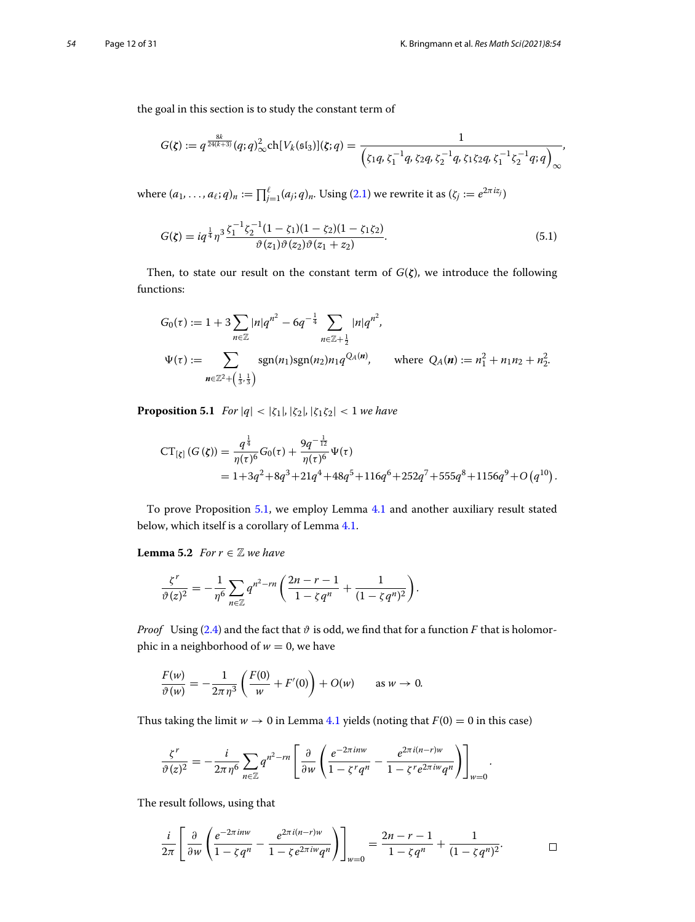the goal in this section is to study the constant term of 

$$
G(\zeta) := q^{\frac{8k}{24(k+3)}}(q;q)_{\infty}^2 \text{ch}[V_k(\mathfrak{sl}_3)](\zeta;q) = \frac{1}{\left(\zeta_1 q, \zeta_1^{-1} q, \zeta_2 q, \zeta_2^{-1} q, \zeta_1 \zeta_2 q, \zeta_1^{-1} \zeta_2^{-1} q, q\right)_{\infty}},
$$
  
where  $(a_1, \ldots, a_\ell; q)_n := \prod_{j=1}^{\ell} (a_j; q)_n$ . Using (2.1) we rewrite it as  $(\zeta_j := e^{2\pi i z_j})$ 

<span id="page-11-1"></span>
$$
G(\zeta) = iq^{\frac{1}{4}}\eta^{3}\frac{\zeta_{1}^{-1}\zeta_{2}^{-1}(1-\zeta_{1})(1-\zeta_{2})(1-\zeta_{1}\zeta_{2})}{\vartheta(z_{1})\vartheta(z_{2})\vartheta(z_{1}+z_{2})}.
$$
\n(5.1)

Then, to state our result on the constant term of *G*(*ζ*), we introduce the following functions:

$$
G_0(\tau) := 1 + 3 \sum_{n \in \mathbb{Z}} |n|q^{n^2} - 6q^{-\frac{1}{4}} \sum_{n \in \mathbb{Z} + \frac{1}{2}} |n|q^{n^2},
$$
  
\n
$$
\Psi(\tau) := \sum_{n \in \mathbb{Z}^2 + (\frac{1}{3}, \frac{1}{3})} \text{sgn}(n_1) \text{sgn}(n_2) n_1 q^{Q_A(n)}, \quad \text{where } Q_A(n) := n_1^2 + n_1 n_2 + n_2^2.
$$

<span id="page-11-0"></span>**Proposition 5.1** *For*  $|q| < |\zeta_1|, |\zeta_2|, |\zeta_1 \zeta_2| < 1$  *we have* 

$$
CT_{\{\xi\}}(G(\xi)) = \frac{q^{\frac{1}{4}}}{\eta(\tau)^6}G_0(\tau) + \frac{9q^{-\frac{1}{12}}}{\eta(\tau)^6}\Psi(\tau)
$$
  
= 1+3q<sup>2</sup>+8q<sup>3</sup>+21q<sup>4</sup>+48q<sup>5</sup>+116q<sup>6</sup>+252q<sup>7</sup>+555q<sup>8</sup>+1156q<sup>9</sup>+O(q<sup>10</sup>).

<span id="page-11-2"></span>To prove Proposition [5.1,](#page-11-0) we employ Lemma [4.1](#page-8-1) and another auxiliary result stated below, which itself is a corollary of Lemma [4.1.](#page-8-1)

**Lemma 5.2** *For*  $r \in \mathbb{Z}$  *we have* 

$$
\begin{aligned}\n\textbf{ma 5.2} \quad & \text{For } r \in \mathbb{Z} \text{ we have} \\
\frac{\zeta^r}{\vartheta(z)^2} &= -\frac{1}{\eta^6} \sum_{n \in \mathbb{Z}} q^{n^2 - rn} \left( \frac{2n - r - 1}{1 - \zeta q^n} + \frac{1}{(1 - \zeta q^n)^2} \right).\n\end{aligned}
$$

*Proof*  $\,$  Using [\(2.4\)](#page-4-3) and the fact that  $\vartheta$  is odd, we find that for a function  $F$  that is holomorphic in a neighborhood of  $w = 0$ , we have (at  $\vartheta$  i<br>we l<br>(0)

$$
\frac{F(w)}{\vartheta(w)} = -\frac{1}{2\pi\eta^3} \left( \frac{F(0)}{w} + F'(0) \right) + O(w) \quad \text{as } w \to 0.
$$

Thus taking the limit 
$$
w \to 0
$$
 in Lemma 4.1 yields (noting that  $F(0) = 0$  in this case)  

$$
\frac{\zeta^r}{\vartheta(z)^2} = -\frac{i}{2\pi\eta^6} \sum_{n\in\mathbb{Z}} q^{n^2-rn} \left[ \frac{\partial}{\partial w} \left( \frac{e^{-2\pi i n w}}{1 - \zeta^r q^n} - \frac{e^{2\pi i (n-r)w}}{1 - \zeta^r e^{2\pi i w} q^n} \right) \right]_{w=0}.
$$

The result follows, using that

$$
\frac{i}{2\pi}\left[\frac{\partial}{\partial w}\left(\frac{e^{-2\pi inw}}{1-\zeta q^n}-\frac{e^{2\pi i(n-r)w}}{1-\zeta e^{2\pi i w}q^n}\right)\right]_{w=0}=\frac{2n-r-1}{1-\zeta q^n}+\frac{1}{(1-\zeta q^n)^2}.
$$

*.*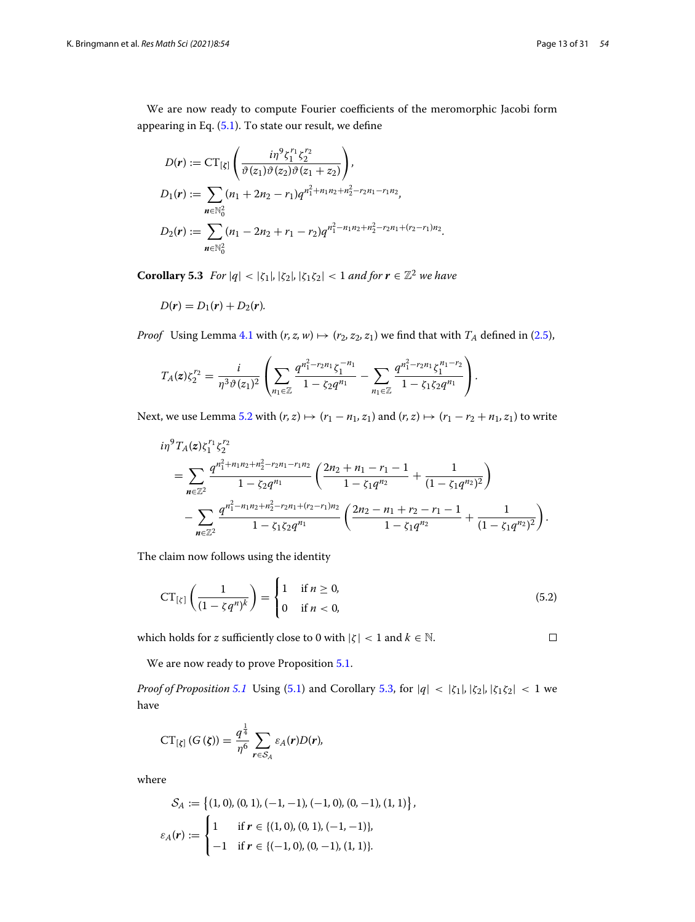We are now ready to compute Fourier coefficients of the meromorphic Jacobi form appearing in Eq. [\(5.1\)](#page-11-1). To state our result, we define

$$
D(\mathbf{r}) := CT_{[\zeta]} \left( \frac{i\eta^9 \zeta_1^{r_1} \zeta_2^{r_2}}{\vartheta(z_1)\vartheta(z_2)\vartheta(z_1+z_2)} \right),
$$
  
\n
$$
D_1(\mathbf{r}) := \sum_{\mathbf{n} \in \mathbb{N}_0^2} (n_1 + 2n_2 - r_1) q^{n_1^2 + n_1 n_2 + n_2^2 - r_2 n_1 - r_1 n_2},
$$
  
\n
$$
D_2(\mathbf{r}) := \sum_{\mathbf{n} \in \mathbb{N}_0^2} (n_1 - 2n_2 + r_1 - r_2) q^{n_1^2 - n_1 n_2 + n_2^2 - r_2 n_1 + (r_2 - r_1) n_2}.
$$

<span id="page-12-0"></span>**Corollary 5.3** *For*  $|q| < |\zeta_1|, |\zeta_2|, |\zeta_1 \zeta_2| < 1$  *and for*  $r \in \mathbb{Z}^2$  *we have* 

$$
D(\mathbf{r})=D_1(\mathbf{r})+D_2(\mathbf{r}).
$$

*Proof* Using Lemma 4.1 with 
$$
(r, z, w) \mapsto (r_2, z_2, z_1)
$$
 we find that with  $T_A$  defined in (2.5),  
\n
$$
T_A(z)\zeta_2^{r_2} = \frac{i}{\eta^3 \vartheta(z_1)^2} \left( \sum_{n_1 \in \mathbb{Z}} \frac{q^{n_1^2 - r_2 n_1} \zeta_1^{-n_1}}{1 - \zeta_2 q^{n_1}} - \sum_{n_1 \in \mathbb{Z}} \frac{q^{n_1^2 - r_2 n_1} \zeta_1^{n_1 - r_2}}{1 - \zeta_1 \zeta_2 q^{n_1}} \right).
$$

Next, we use Lemma [5.2](#page-11-2) with  $(r, z) \mapsto (r_1 - n_1, z_1)$  and  $(r, z) \mapsto (r_1 - r_2 + n_1, z_1)$  to write

$$
i\eta^{9}T_{A}(z)\zeta_{1}^{r_{1}}\zeta_{2}^{r_{2}}
$$
\n
$$
=\sum_{n\in\mathbb{Z}^{2}}\frac{q^{n_{1}^{2}+n_{1}n_{2}+n_{2}^{2}-r_{2}n_{1}-r_{1}n_{2}}}{1-\zeta_{2}q^{n_{1}}}\left(\frac{2n_{2}+n_{1}-r_{1}-1}{1-\zeta_{1}q^{n_{2}}}+\frac{1}{(1-\zeta_{1}q^{n_{2}})^{2}}\right)
$$
\n
$$
-\sum_{n\in\mathbb{Z}^{2}}\frac{q^{n_{1}^{2}-n_{1}n_{2}+n_{2}^{2}-r_{2}n_{1}+(r_{2}-r_{1})n_{2}}}{1-\zeta_{1}\zeta_{2}q^{n_{1}}}\left(\frac{2n_{2}-n_{1}+r_{2}-r_{1}-1}{1-\zeta_{1}q^{n_{2}}}+\frac{1}{(1-\zeta_{1}q^{n_{2}})^{2}}\right).
$$

The claim now follows using the identity ⎨

<span id="page-12-1"></span>
$$
CT_{\lbrack \zeta \rbrack} \left( \frac{1}{(1 - \zeta q^n)^k} \right) = \begin{cases} 1 & \text{if } n \ge 0, \\ 0 & \text{if } n < 0, \end{cases} \tag{5.2}
$$

which holds for *z* sufficiently close to 0 with  $|\zeta| < 1$  and  $k \in \mathbb{N}$ .

 $\Box$ 

We are now ready to prove Proposition [5.1.](#page-11-0)

*Proof of Proposition [5.1](#page-11-0)* Using [\(5.1\)](#page-11-1) and Corollary [5.3,](#page-12-0) for |*q*| < |ζ1|*,* |ζ2|*,* |ζ1ζ2| < 1 we have

$$
CT_{[\zeta]}(G(\zeta))=\frac{q^{\frac{1}{4}}}{\eta^6}\sum_{r\in S_A}\varepsilon_A(r)D(r),
$$

where

$$
r \in S_A
$$
  
\n
$$
S_A := \{(1, 0), (0, 1), (-1, -1), (-1, 0), (0, -1), (1, 1)\},\
$$
  
\n
$$
\varepsilon_A(r) := \begin{cases} 1 & \text{if } r \in \{(1, 0), (0, 1), (-1, -1)\},\\ -1 & \text{if } r \in \{(-1, 0), (0, -1), (1, 1)\}. \end{cases}
$$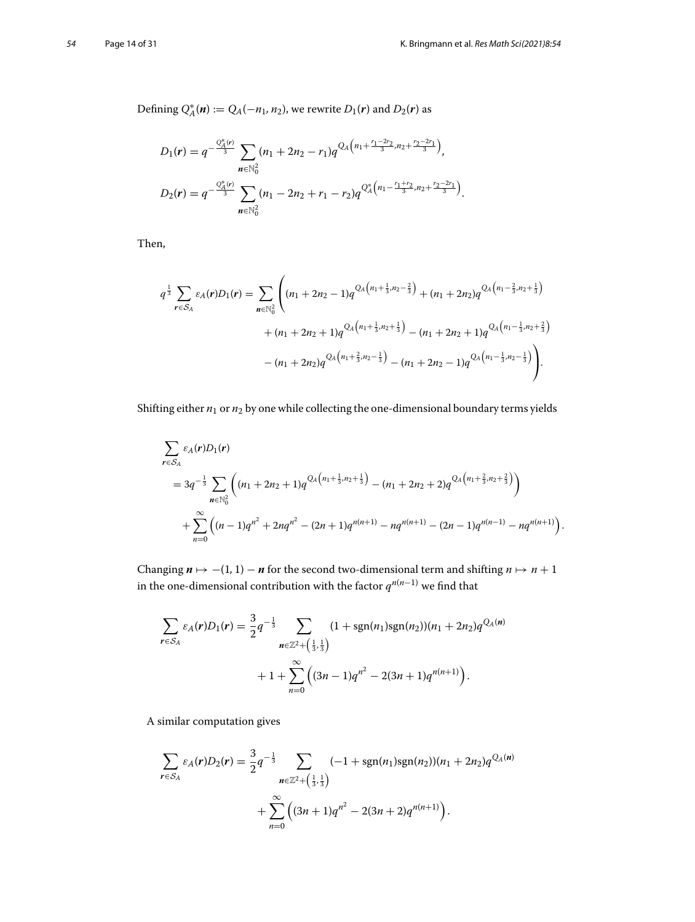Defining  $Q_A^*(\mathbf{n}) := Q_A(-n_1, n_2)$ , we rewrite  $D_1(\mathbf{r})$  and  $D_2(\mathbf{r})$  as

$$
D_1(r) = q^{-\frac{Q_A^*(r)}{3}} \sum_{n \in \mathbb{N}_0^2} (n_1 + 2n_2 - r_1) q^{Q_A(n_1 + \frac{r_1 - 2r_2}{3}, n_2 + \frac{r_2 - 2r_1}{3})},
$$
  
\n
$$
D_2(r) = q^{-\frac{Q_A^*(r)}{3}} \sum_{n \in \mathbb{N}_0^2} (n_1 - 2n_2 + r_1 - r_2) q^{Q_A^*(n_1 - \frac{r_1 + r_2}{3}, n_2 + \frac{r_2 - 2r_1}{3})}.
$$

Then,

$$
q^{\frac{1}{3}}\sum_{r\in S_A} \varepsilon_A(r)D_1(r) = \sum_{n\in\mathbb{N}_0^2} \left( (n_1 + 2n_2 - 1)q^{Q_A(n_1 + \frac{1}{3}, n_2 - \frac{2}{3})} + (n_1 + 2n_2)q^{Q_A(n_1 - \frac{2}{3}, n_2 + \frac{1}{3})} + (n_1 + 2n_2 + 1)q^{Q_A(n_1 + \frac{1}{3}, n_2 + \frac{1}{3})} - (n_1 + 2n_2 + 1)q^{Q_A(n_1 - \frac{1}{3}, n_2 + \frac{2}{3})} - (n_1 + 2n_2 - 1)q^{Q_A(n_1 - \frac{1}{3}, n_2 - \frac{1}{3})} \right).
$$

Shifting either  $n_1$  or  $n_2$  by one while collecting the one-dimensional boundary terms yields

$$
\sum_{\mathbf{r}\in S_A} \varepsilon_A(\mathbf{r})D_1(\mathbf{r})
$$
\n
$$
= 3q^{-\frac{1}{3}} \sum_{\mathbf{n}\in\mathbb{N}_0^2} \left( (n_1 + 2n_2 + 1)q^{Q_A(n_1 + \frac{1}{3}, n_2 + \frac{1}{3})} - (n_1 + 2n_2 + 2)q^{Q_A(n_1 + \frac{2}{3}, n_2 + \frac{2}{3})} \right)
$$
\n
$$
+ \sum_{n=0}^{\infty} \left( (n-1)q^{n^2} + 2nq^{n^2} - (2n+1)q^{n(n+1)} - nq^{n(n+1)} - (2n-1)q^{n(n-1)} - nq^{n(n+1)} \right).
$$

Changing  $n \mapsto -(1, 1) - n$  for the second two-dimensional term and shifting  $n \mapsto n + 1$ in the one-dimensional contribution with the factor  $q^{n(n-1)}$  we find that

$$
\sum_{r \in S_A} \varepsilon_A(r) D_1(r) = \frac{3}{2} q^{-\frac{1}{3}} \sum_{n \in \mathbb{Z}^2 + (\frac{1}{3}, \frac{1}{3})} (1 + \text{sgn}(n_1) \text{sgn}(n_2)) (n_1 + 2n_2) q^{Q_A(n)} + 1 + \sum_{n=0}^{\infty} ((3n - 1)q^{n^2} - 2(3n + 1)q^{n(n+1)}).
$$

A similar computation gives

$$
\sum_{\mathbf{r}\in S_A} \varepsilon_A(\mathbf{r})D_2(\mathbf{r}) = \frac{3}{2}q^{-\frac{1}{3}} \sum_{\mathbf{n}\in\mathbb{Z}^2+\left(\frac{1}{3},\frac{1}{3}\right)} (-1+\text{sgn}(n_1)\text{sgn}(n_2))(n_1+2n_2)q^{Q_A(\mathbf{n})} + \sum_{n=0}^{\infty} \left( (3n+1)q^{n^2} - 2(3n+2)q^{n(n+1)} \right).
$$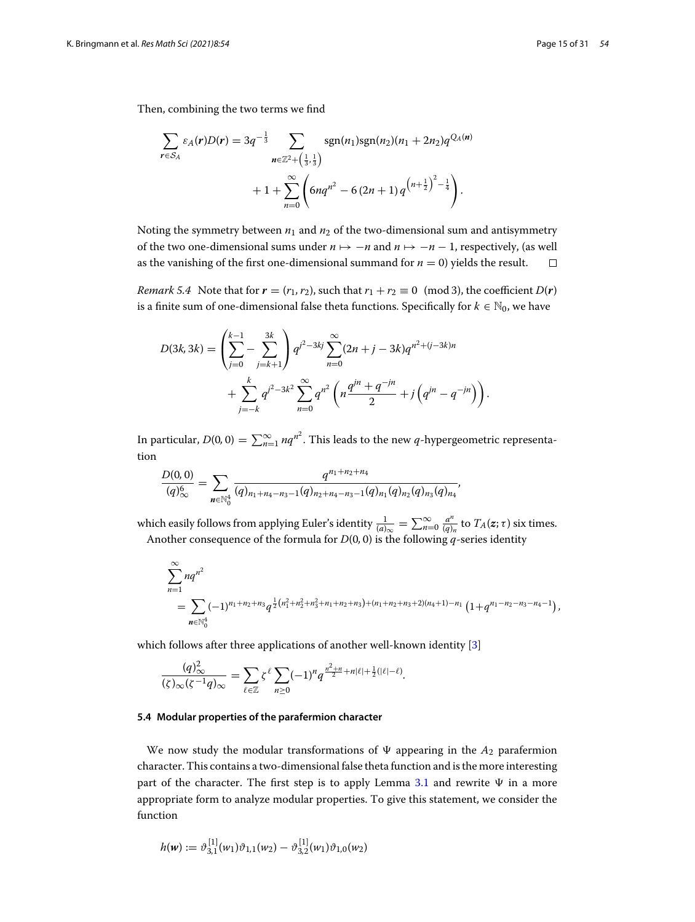Then, combining the two terms we find

$$
\sum_{r \in S_A} \varepsilon_A(r)D(r) = 3q^{-\frac{1}{3}} \sum_{n \in \mathbb{Z}^2 + (\frac{1}{3},\frac{1}{3})} \operatorname{sgn}(n_1)\operatorname{sgn}(n_2)(n_1 + 2n_2)q^{Q_A(n)} + 1 + \sum_{n=0}^{\infty} \left(6nq^{n^2} - 6(2n+1)q^{(n+\frac{1}{2})^2 - \frac{1}{4}}\right).
$$

Noting the symmetry between  $n_1$  and  $n_2$  of the two-dimensional sum and antisymmetry of the two one-dimensional sums under  $n \mapsto -n$  and  $n \mapsto -n-1$ , respectively, (as well as the vanishing of the first one-dimensional summand for  $n = 0$ ) yields the result.  $\Box$ 

*Remark 5.4* Note that for  $r = (r_1, r_2)$ , such that  $r_1 + r_2 \equiv 0 \pmod{3}$ , the coefficient  $D(r)$ 

is a finite sum of one-dimensional false theta functions. Specifically for 
$$
k \in \mathbb{N}_0
$$
, we have  
\n
$$
D(3k, 3k) = \left(\sum_{j=0}^{k-1} - \sum_{j=k+1}^{3k} \right) q^{j^2 - 3kj} \sum_{n=0}^{\infty} (2n + j - 3k) q^{n^2 + (j - 3k)n}
$$
\n
$$
+ \sum_{j=-k}^{k} q^{j^2 - 3k^2} \sum_{n=0}^{\infty} q^{n^2} \left(n \frac{q^{jn} + q^{-jn}}{2} + j \left(q^{jn} - q^{-jn}\right)\right).
$$

In particular,  $D(0, 0) = \sum_{n=1}^{\infty} nq^n$ . This leads to the new *q*-hypergeometric representa-<br>
tion<br>  $\frac{D(0, 0)}{(q)^6} = \sum_{n=1}^{\infty} \frac{q^{n_1+n_2+n_4}}{(q)!(q)!(q)!(q)!(q)!(q)!(q)}$ tion

$$
\frac{D(0,0)}{(q)_{\infty}^6} = \sum_{n \in \mathbb{N}_0^4} \frac{q^{n_1+n_2+n_4}}{(q)_{n_1+n_4-n_3-1}(q)_{n_2+n_4-n_3-1}(q)_{n_1}(q)_{n_2}(q)_{n_3}(q)_{n_4}},
$$
\nwhich easily follows from applying Euler's identity  $\frac{1}{(a)_{\infty}} = \sum_{n=0}^{\infty} \frac{a^n}{(q)_n}$  to  $T_A(z;\tau)$  six times.

Another consequence of the formula for *D*(0*,* 0) is the following *q*-series identity

$$
\sum_{n=1}^{\infty} nq^{n^2}
$$
\n
$$
= \sum_{n \in \mathbb{N}_0^4} (-1)^{n_1 + n_2 + n_3} q^{\frac{1}{2}(n_1^2 + n_2^2 + n_3^2 + n_1 + n_2 + n_3) + (n_1 + n_2 + n_3 + 2)(n_4 + 1) - n_1} (1 + q^{n_1 - n_2 - n_3 - n_4 - 1}),
$$

which follows after three applications of another well-known identity [\[3](#page-30-28)]

h follows after three applications of another well-  
\n
$$
\frac{(q)_{\infty}^2}{(\zeta)_{\infty}(\zeta^{-1}q)_{\infty}} = \sum_{\ell \in \mathbb{Z}} \zeta^{\ell} \sum_{n \geq 0} (-1)^n q^{\frac{n^2+n}{2} + n|\ell| + \frac{1}{2}(|\ell| - \ell)}.
$$

#### **5.4 Modular properties of the parafermion character**

We now study the modular transformations of  $\Psi$  appearing in the  $A_2$  parafermion character. This contains a two-dimensional false theta function and is the more interesting part of the character. The first step is to apply Lemma [3.1](#page-6-0) and rewrite  $\Psi$  in a more appropriate form to analyze modular properties. To give this statement, we consider the function

$$
h(\mathbf{w}) := \vartheta_{3,1}^{[1]}(w_1)\vartheta_{1,1}(w_2) - \vartheta_{3,2}^{[1]}(w_1)\vartheta_{1,0}(w_2)
$$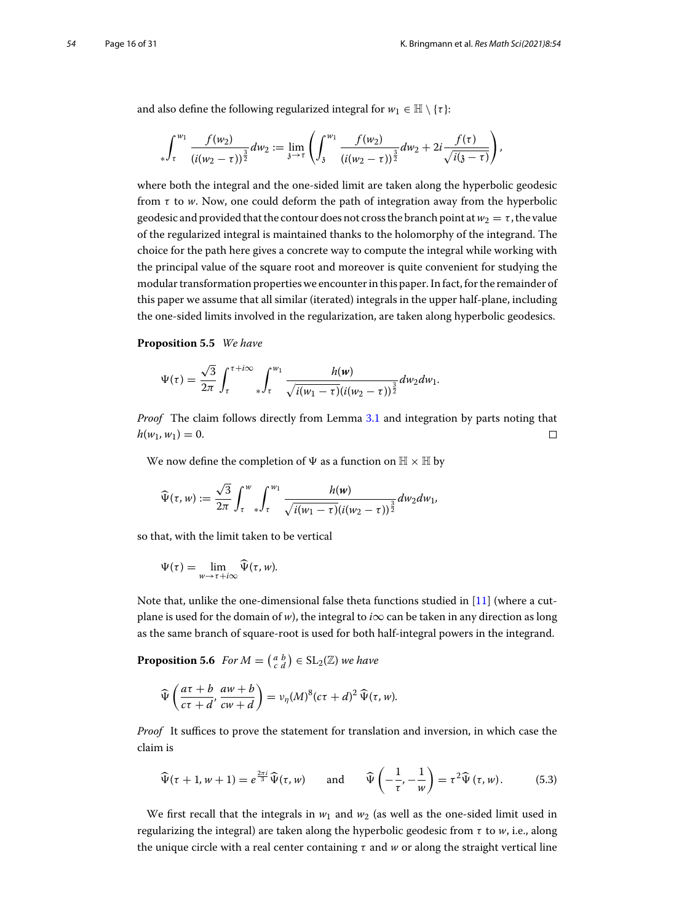and also define the following regularized integral for  $w_1 \in \mathbb{H} \setminus \{\tau\}$ :

$$
\int_{\tau}^{w_1} \frac{f(w_2)}{(i(w_2-\tau))^{\frac{3}{2}}} dw_2 := \lim_{\delta \to \tau} \left( \int_{\delta}^{w_1} \frac{f(w_2)}{(i(w_2-\tau))^{\frac{3}{2}}} dw_2 + 2i \frac{f(\tau)}{\sqrt{i(\delta-\tau)}} \right),
$$

where both the integral and the one-sided limit are taken along the hyperbolic geodesic from  $\tau$  to *w*. Now, one could deform the path of integration away from the hyperbolic geodesic and provided that the contour does not cross the branch point at  $w_2 = \tau$ , the value of the regularized integral is maintained thanks to the holomorphy of the integrand. The choice for the path here gives a concrete way to compute the integral while working with the principal value of the square root and moreover is quite convenient for studying the modular transformation properties we encounter in this paper. In fact, for the remainder of this paper we assume that all similar (iterated) integrals in the upper half-plane, including the one-sided limits involved in the regularization, are taken along hyperbolic geodesics.

#### <span id="page-15-0"></span>**Proposition 5.5** *We have*

$$
\Psi(\tau) = \frac{\sqrt{3}}{2\pi} \int_{\tau}^{\tau + i\infty} \int_{\tau}^{w_1} \frac{h(w)}{\sqrt{i(w_1 - \tau)} (i(w_2 - \tau))^{\frac{3}{2}}} dw_2 dw_1.
$$

*Proof* The claim follows directly from Lemma [3.1](#page-6-0) and integration by parts noting that  $h(w_1, w_1) = 0.$  $\Box$ 

We now define the completion of  $\Psi$  as a function on  $\mathbb{H}\times\mathbb{H}$  by

e now define the completion of 
$$
\Psi
$$
 as a function on  $\mathbb{H} \times \mathbb{H}$  b  

$$
\widehat{\Psi}(\tau, w) := \frac{\sqrt{3}}{2\pi} \int_{\tau}^{w} \int_{\tau}^{w_1} \frac{h(w)}{\sqrt{i(w_1 - \tau)}(i(w_2 - \tau))^{\frac{3}{2}}} dw_2 dw_1,
$$

so that, with the limit taken to be vertical  
\n
$$
\Psi(\tau) = \lim_{w \to \tau + i\infty} \widehat{\Psi}(\tau, w).
$$

Note that, unlike the one-dimensional false theta functions studied in [\[11\]](#page-30-3) (where a cutplane is used for the domain of *w*), the integral to *i* $\infty$  can be taken in any direction as long as the same branch of square-root is used for both half-integral powers in the integrand. plane is used for the domain of *w*), the integral to *i*o<br>
as the same branch of square-root is used for both<br> **Proposition 5.6** *For M* =  $\begin{pmatrix} a & b \\ c & d \end{pmatrix} \in SL_2(\mathbb{Z})$  *we have*<br>  $\widehat{\Psi}\left(\frac{a\tau + b}{\sigma}, \frac{a w + b}{\sigma}, \frac{a$ 

<span id="page-15-1"></span>

**position 5.6** For 
$$
M = \begin{pmatrix} a & b \\ c & d \end{pmatrix} \in SL_2(\mathbb{Z})
$$
 we have  
\n
$$
\widehat{\Psi} \left( \frac{a\tau + b}{c\tau + d}, \frac{a w + b}{c w + d} \right) = \nu_{\eta}(M)^8 (c\tau + d)^2 \widehat{\Psi}(\tau, w).
$$

*Proof* It suffices to prove the statement for translation and inversion, in which case the claim is

<span id="page-15-2"></span>m is  
\n
$$
\widehat{\Psi}(\tau+1, w+1) = e^{\frac{2\pi i}{3}} \widehat{\Psi}(\tau, w) \quad \text{and} \quad \widehat{\Psi}\left(-\frac{1}{\tau}, -\frac{1}{w}\right) = \tau^2 \widehat{\Psi}(\tau, w).
$$
\n(5.3)

We first recall that the integrals in  $w_1$  and  $w_2$  (as well as the one-sided limit used in regularizing the integral) are taken along the hyperbolic geodesic from τ to *w*, i.e., along the unique circle with a real center containing  $\tau$  and  $w$  or along the straight vertical line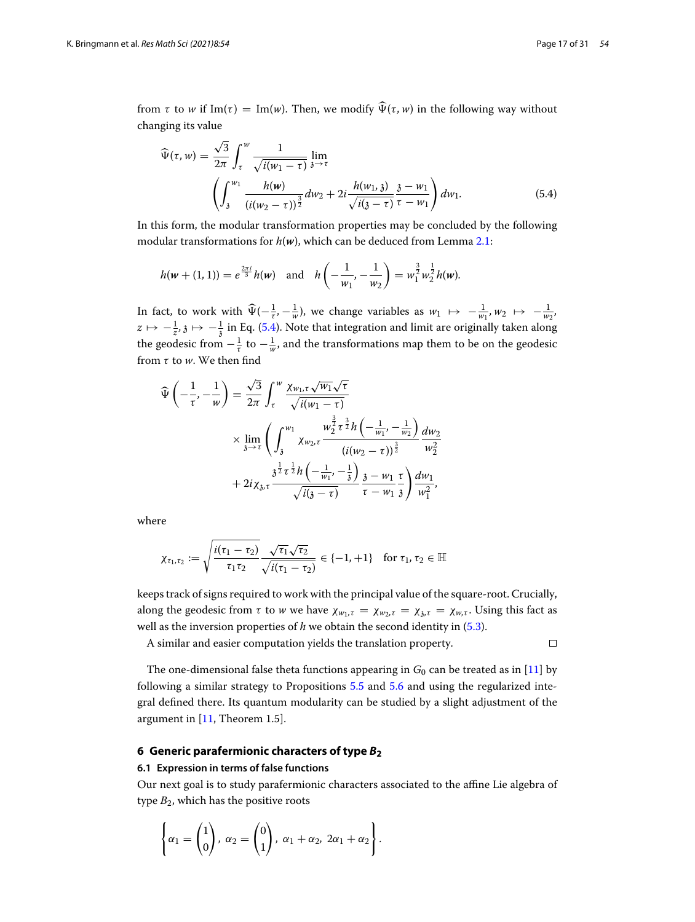from  $\tau$  to  $w$  if Im( $\tau$ ) = Im( $w$ ). Then, we modify  $\widehat{\Psi}(\tau, w)$  in the following way without changing its value ்<br>ச

<span id="page-16-1"></span>
$$
\widehat{\Psi}(\tau, w) = \frac{\sqrt{3}}{2\pi} \int_{\tau}^{w} \frac{1}{\sqrt{i(w_1 - \tau)}} \lim_{\delta \to \tau} \left( \int_{\delta}^{w_1} \frac{h(w)}{(i(w_2 - \tau))^{\frac{3}{2}}} dw_2 + 2i \frac{h(w_1, \delta)}{\sqrt{i(\delta - \tau)}} \frac{\delta - w_1}{\tau - w_1} \right) dw_1.
$$
\n(5.4)

In this form, the modular transformation properties may be concluded by the following modular transformations for *h*(*w*), which can be deduced from Lemma [2.1:](#page-5-1)

$$
h(\mathbf{w} + (1, 1)) = e^{\frac{2\pi i}{3}} h(\mathbf{w}) \text{ and } h\left(-\frac{1}{w_1}, -\frac{1}{w_2}\right) = w_1^{\frac{3}{2}} w_2^{\frac{1}{2}} h(\mathbf{w}).
$$

 $h(w + (1, 1)) = e^{\frac{2\pi i}{3}} h(w)$  and  $h\left(-\frac{1}{w_1}, -\frac{1}{w_2}\right) = w_1^{\frac{1}{2}} w_2^{\frac{1}{2}} h(w)$ .<br>In fact, to work with  $\widehat{\Psi}(-\frac{1}{\tau}, -\frac{1}{w})$ , we change variables as  $w_1 \mapsto -\frac{1}{w_1}, w_2 \mapsto -\frac{1}{w_2}$ .  $z \mapsto -\frac{1}{z}, \zeta \mapsto -\frac{1}{3}$  in Eq. [\(5.4\)](#page-16-1). Note that integration and limit are originally taken along<br>the goodesig from  $z^{-1}$  to  $z^{-1}$  and the transformations man them to be on the goodesig the geodesic from  $-\frac{1}{\tau}$  to  $-\frac{1}{w}$ , and the transformations map them to be on the geodesic from τ to *w*. We then find

$$
\vec{v} \left( -\frac{1}{\tau}, -\frac{1}{w} \right) = \frac{\sqrt{3}}{2\pi} \int_{\tau}^{w} \frac{\chi_{w_1, \tau} \sqrt{w_1} \sqrt{\tau}}{\sqrt{i(w_1 - \tau)}}
$$
  
 
$$
\times \lim_{3 \to \tau} \left( \int_{3}^{w_1} \frac{w_2^{\frac{3}{2}} \tau^{\frac{3}{2}} h \left( -\frac{1}{w_1}, -\frac{1}{w_2} \right)}{\left( i(w_2 - \tau) \right)^{\frac{3}{2}}} \frac{dw_2}{w_2^2}
$$
  
+ 
$$
2iz_{3, \tau} \frac{3^{\frac{1}{2}} \tau^{\frac{1}{2}} h \left( -\frac{1}{w_1}, -\frac{1}{3} \right)}{\sqrt{i(3 - \tau)}} \frac{3 - w_1}{\tau - w_1} \frac{\tau}{3} \right) \frac{dw_1}{w_1^2},
$$

where

$$
\chi_{\tau_1,\tau_2} := \sqrt{\frac{i(\tau_1 - \tau_2)}{\tau_1 \tau_2}} \frac{\sqrt{\tau_1} \sqrt{\tau_2}}{\sqrt{i(\tau_1 - \tau_2)}} \in \{-1, +1\} \text{ for } \tau_1, \tau_2 \in \mathbb{H}
$$

keeps track of signs required to work with the principal value of the square-root. Crucially, along the geodesic from  $\tau$  to  $w$  we have  $\chi_{w_1, \tau} = \chi_{w_2, \tau} = \chi_{\chi, \tau} = \chi_{w, \tau}$ . Using this fact as well as the inversion properties of *h* we obtain the second identity in [\(5.3\)](#page-15-2).

A similar and easier computation yields the translation property.

 $\Box$ 

The one-dimensional false theta functions appearing in  $G_0$  can be treated as in [\[11](#page-30-3)] by following a similar strategy to Propositions [5.5](#page-15-0) and [5.6](#page-15-1) and using the regularized integral defined there. Its quantum modularity can be studied by a slight adjustment of the argument in [\[11](#page-30-3), Theorem 1.5].

# <span id="page-16-0"></span>**6 Generic parafermionic characters of type** *B***<sup>2</sup>**

#### **6.1 Expression in terms of false functions**

Our next goal is to study parafermionic characters associated to the affine Lie algebra of !type  $B_2$ , which has the positive roots

$$
\left\{\alpha_1=\begin{pmatrix}1\\0\end{pmatrix}, \alpha_2=\begin{pmatrix}0\\1\end{pmatrix}, \alpha_1+\alpha_2, 2\alpha_1+\alpha_2\right\}.
$$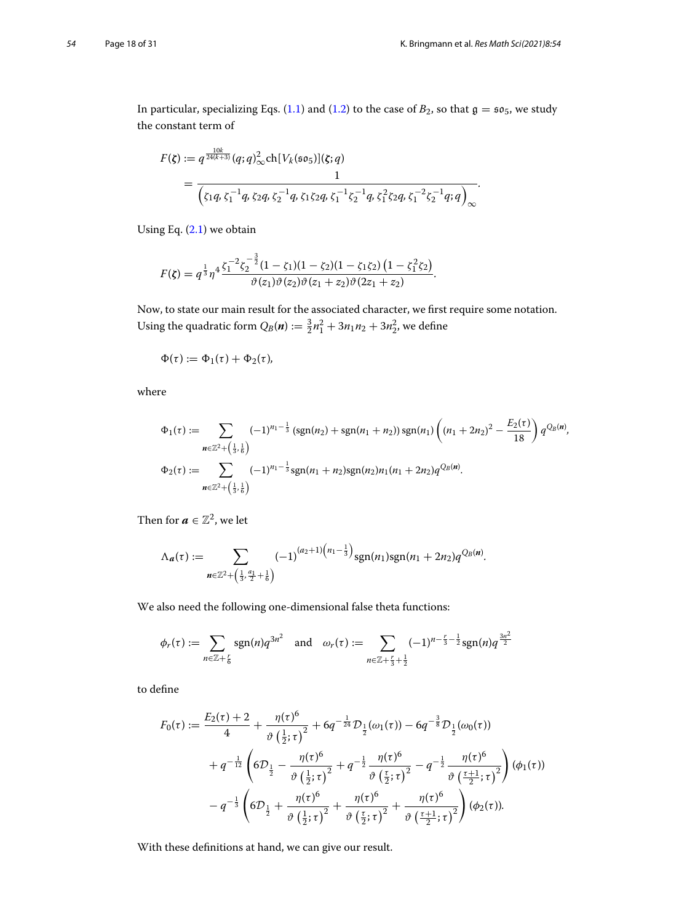In particular, specializing Eqs. [\(1.1\)](#page-2-0) and [\(1.2\)](#page-2-1) to the case of  $B_2$ , so that  $\mathfrak{g} = \mathfrak{so}_5$ , we study the constant term of

$$
F(\zeta) := q^{\frac{10k}{24(k+3)}}(q;q)_\infty^2 \text{ch}[V_k(\mathfrak{so}_5)](\zeta;q)
$$
  
= 
$$
\frac{1}{\left(\zeta_1 q, \zeta_1^{-1} q, \zeta_2 q, \zeta_2^{-1} q, \zeta_1 \zeta_2 q, \zeta_1^{-1} \zeta_2^{-1} q, \zeta_1^2 \zeta_2 q, \zeta_1^{-2} \zeta_2^{-1} q, q\right)_{\infty}}.
$$

Using Eq. [\(2.1\)](#page-4-4) we obtain

$$
F(\zeta) = q^{\frac{1}{3}} \eta^4 \frac{\zeta_1^{-2} \zeta_2^{-\frac{3}{2}} (1 - \zeta_1)(1 - \zeta_2)(1 - \zeta_1 \zeta_2) (1 - \zeta_1^2 \zeta_2)}{\vartheta(z_1)\vartheta(z_2)\vartheta(z_1 + z_2)\vartheta(2z_1 + z_2)}.
$$

Now, to state our main result for the associated character, we first require some notation. Using the quadratic form  $Q_B(n) := \frac{3}{2}n_1^2 + 3n_1n_2 + 3n_2^2$ , we define

$$
\Phi(\tau):=\Phi_1(\tau)+\Phi_2(\tau),
$$

where

re  
\n
$$
\Phi_1(\tau) := \sum_{n \in \mathbb{Z}^2 + (\frac{1}{3}, \frac{1}{6})} (-1)^{n_1 - \frac{1}{3}} (\text{sgn}(n_2) + \text{sgn}(n_1 + n_2)) \text{sgn}(n_1) \left( (n_1 + 2n_2)^2 - \frac{E_2(\tau)}{18} \right) q^{Q_B(n)},
$$
\n
$$
\Phi_2(\tau) := \sum_{n \in \mathbb{Z}^2 + (\frac{1}{3}, \frac{1}{6})} (-1)^{n_1 - \frac{1}{3}} \text{sgn}(n_1 + n_2) \text{sgn}(n_2) n_1(n_1 + 2n_2) q^{Q_B(n)}.
$$

Then for 
$$
\mathbf{a} \in \mathbb{Z}^2
$$
, we let  
\n
$$
\Lambda_{\mathbf{a}}(\tau) := \sum_{\mathbf{n} \in \mathbb{Z}^2 + (\frac{1}{3}, \frac{a_1}{2} + \frac{1}{6})} (-1)^{(a_2 + 1)(n_1 - \frac{1}{3})} \text{sgn}(n_1) \text{sgn}(n_1 + 2n_2) q^{Q_B(\mathbf{n})}.
$$

We also need the following one-dimensional false theta functions:

also need the following one-dimensional false theta functions:  
\n
$$
\phi_r(\tau) := \sum_{n \in \mathbb{Z} + \frac{r}{6}} \operatorname{sgn}(n) q^{3n^2} \quad \text{and} \quad \omega_r(\tau) := \sum_{n \in \mathbb{Z} + \frac{r}{3} + \frac{1}{2}} (-1)^{n - \frac{r}{3} - \frac{1}{2}} \operatorname{sgn}(n) q^{\frac{3n^2}{2}}
$$

to define

Since

\n
$$
F_0(\tau) := \frac{E_2(\tau) + 2}{4} + \frac{\eta(\tau)^6}{\vartheta(\frac{1}{2}; \tau)^2} + 6q^{-\frac{1}{24}} \mathcal{D}_{\frac{1}{2}}(\omega_1(\tau)) - 6q^{-\frac{3}{8}} \mathcal{D}_{\frac{1}{2}}(\omega_0(\tau))
$$
\n
$$
+ q^{-\frac{1}{12}} \left( 6\mathcal{D}_{\frac{1}{2}} - \frac{\eta(\tau)^6}{\vartheta(\frac{1}{2}; \tau)^2} + q^{-\frac{1}{2}} \frac{\eta(\tau)^6}{\vartheta(\frac{\tau}{2}; \tau)^2} - q^{-\frac{1}{2}} \frac{\eta(\tau)^6}{\vartheta(\frac{\tau+1}{2}; \tau)^2} \right) (\phi_1(\tau))
$$
\n
$$
- q^{-\frac{1}{3}} \left( 6\mathcal{D}_{\frac{1}{2}} + \frac{\eta(\tau)^6}{\vartheta(\frac{1}{2}; \tau)^2} + \frac{\eta(\tau)^6}{\vartheta(\frac{\tau}{2}; \tau)^2} + \frac{\eta(\tau)^6}{\vartheta(\frac{\tau+1}{2}; \tau)^2} \right) (\phi_2(\tau)).
$$

<span id="page-17-0"></span>With these definitions at hand, we can give our result.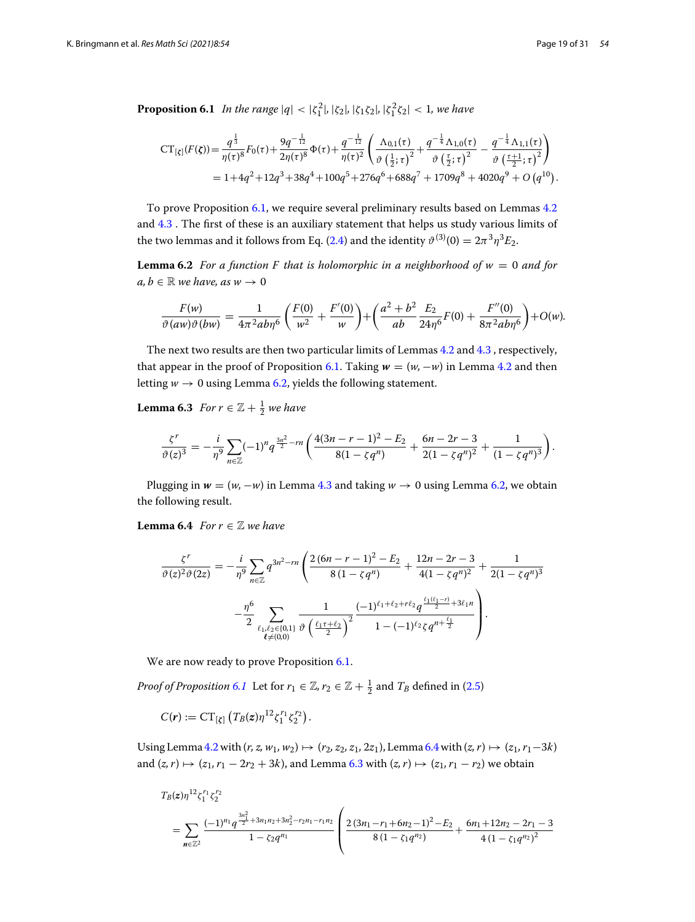**Proposition 6.1** *In the range*  $|q| < |\zeta_1^2|$ ,  $|\zeta_2|$ ,  $|\zeta_1\zeta_2|$ ,  $|\zeta_1^2\zeta_2| < 1$ , we have  $\mathbf{a}$  ,  $\mathbf{a}$  ,  $\mathbf{a}$  ,  $\mathbf{a}$  ,  $\mathbf{a}$ 

$$
CT_{\lbrack \xi \rbrack}(F(\xi)) = \frac{q^{\frac{1}{3}}}{\eta(\tau)^8}F_0(\tau) + \frac{9q^{-\frac{1}{12}}}{2\eta(\tau)^8}\Phi(\tau) + \frac{q^{-\frac{1}{12}}}{\eta(\tau)^2} \left(\frac{\Lambda_{0,1}(\tau)}{\vartheta(\frac{1}{2};\tau)^2} + \frac{q^{-\frac{1}{4}}\Lambda_{1,0}(\tau)}{\vartheta(\frac{\tau}{2};\tau)^2} - \frac{q^{-\frac{1}{4}}\Lambda_{1,1}(\tau)}{\vartheta(\frac{\tau+1}{2};\tau)^2}\right)
$$
  
= 1 + 4q^2 + 12q^3 + 38q^4 + 100q^5 + 276q^6 + 688q^7 + 1709q^8 + 4020q^9 + O(q^{10}).

To prove Proposition [6.1,](#page-17-0) we require several preliminary results based on Lemmas [4.2](#page-9-1) and [4.3](#page-9-2) . The first of these is an auxiliary statement that helps us study various limits of the two lemmas and it follows from Eq. [\(2.4\)](#page-4-3) and the identity  $\vartheta^{(3)}(0) = 2\pi^3 \eta^3 E_2$ .

**Lemma 6.2** *For a function F that is holomorphic in a neighborhood of w* <sup>=</sup> <sup>0</sup> *and for*  $a, b \in \mathbb{R}$  *we have, as*  $w \to 0$ 

<span id="page-18-2"></span><span id="page-18-0"></span>
$$
\frac{F(w)}{\vartheta(aw)\vartheta(bw)} = \frac{1}{4\pi^2 ab\eta^6} \left(\frac{F(0)}{w^2} + \frac{F'(0)}{w}\right) + \left(\frac{a^2 + b^2}{ab} \frac{E_2}{24\eta^6} F(0) + \frac{F''(0)}{8\pi^2 ab\eta^6}\right) + O(w).
$$

The next two results are then two particular limits of Lemmas [4.2](#page-9-1) and [4.3](#page-9-2) , respectively, that appear in the proof of Proposition [6.1.](#page-17-0) Taking  $w = (w, -w)$  in Lemma [4.2](#page-9-1) and then letting  $w \to 0$  using Lemma [6.2,](#page-18-0) yields the following statement.

**Lemma 6.3** For 
$$
r \in \mathbb{Z} + \frac{1}{2}
$$
 we have  
\n
$$
\frac{\zeta^r}{\vartheta(z)^3} = -\frac{i}{\eta^9} \sum_{n \in \mathbb{Z}} (-1)^n q^{\frac{3n^2}{2} - rn} \left( \frac{4(3n - r - 1)^2 - E_2}{8(1 - \zeta q^n)} + \frac{6n - 2r - 3}{2(1 - \zeta q^n)^2} + \frac{1}{(1 - \zeta q^n)^3} \right).
$$

Plugging in  $w = (w, -w)$  in Lemma [4.3](#page-9-2) and taking  $w \to 0$  using Lemma [6.2,](#page-18-0) we obtain the following result.

**Lemma 6.4** *For*  $r \in \mathbb{Z}$  *we have* 

<span id="page-18-1"></span>
$$
\begin{split} \n\textbf{ma 6.4} \quad & \text{For } r \in \mathbb{Z} \text{ we have} \\ \n\frac{\zeta^r}{\vartheta(z)^2 \vartheta(2z)} &= -\frac{i}{\eta^9} \sum_{n \in \mathbb{Z}} q^{3n^2 - rn} \left( \frac{2(6n - r - 1)^2 - E_2}{8(1 - \zeta q^n)} + \frac{12n - 2r - 3}{4(1 - \zeta q^n)^2} + \frac{1}{2(1 - \zeta q^n)^3} \right. \\ \n&\left. -\frac{\eta^6}{2} \sum_{\substack{\ell_1, \ell_2 \in \{0, 1\} \\ \ell \neq (0, 0)}} \frac{1}{\vartheta \left( \frac{\ell_1 \tau + \ell_2}{2} \right)^2} \frac{(-1)^{\ell_1 + \ell_2 + r\ell_2} q^{\frac{\ell_1(\ell_1 - r)}{2} + 3\ell_1 n}}{1 - (-1)^{\ell_2} \zeta q^{n + \frac{\ell_1}{2}}} \right). \n\end{split}
$$

We are now ready to prove Proposition [6.1.](#page-17-0)

*Proof of Proposition* [6.1](#page-17-0) Let for  $r_1 \in \mathbb{Z}$ ,  $r_2 \in \mathbb{Z} + \frac{1}{2}$  and  $T_B$  defined in [\(2.5\)](#page-5-0)

 $C(r) := CT_{[\zeta]} (T_B(z)\eta^{12}\zeta_1^{r_1}\zeta_2^{r_2}).$ 

Using Lemma [4.2](#page-9-1) with  $(r, z, w_1, w_2)$   $\mapsto$   $(r_2, z_2, z_1, 2z_1)$ , Lemma [6.4](#page-18-1) with  $(z, r) \mapsto (z_1, r_1-3k)$ and  $(z, r) \mapsto (z_1, r_1 - 2r_2 + 3k)$ , and Lemma [6.3](#page-18-2) with  $(z, r) \mapsto (z_1, r_1 - r_2)$  we obtain

$$
T_B(z)\eta^{12}\zeta_1^{r_1}\zeta_2^{r_2}
$$
\n
$$
= \sum_{n\in\mathbb{Z}^2} \frac{(-1)^{n_1}q^{\frac{3n_1^2}{2}+3n_1n_2+3n_2^2-r_2n_1-r_1n_2}}{1-\zeta_2q^{n_1}} \left(\frac{2(3n_1-r_1+6n_2-1)^2-E_2}{8(1-\zeta_1q^{n_2})}+\frac{6n_1+12n_2-2r_1-3}{4(1-\zeta_1q^{n_2})^2}\right)
$$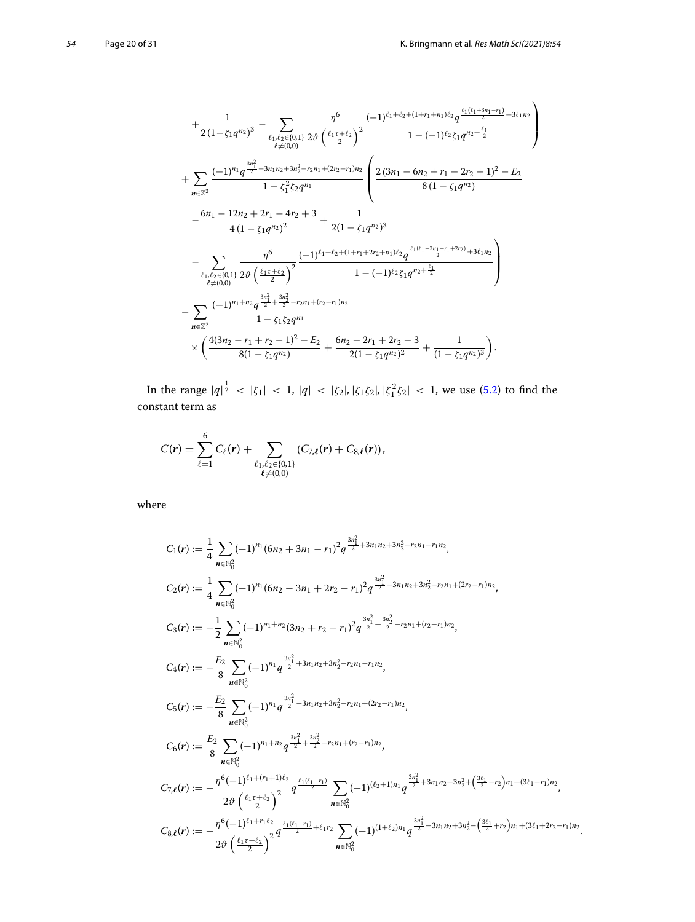$$
+\frac{1}{2(1-\zeta_1q^{n_2})^3}-\sum_{\ell_1,\ell_2\in\{0,1\}}\frac{\eta^6}{2\vartheta^2}\frac{(-1)^{\ell_1+\ell_2+(1+r_1+n_1)\ell_2}q^{\frac{\ell_1(\ell_1+3n_1-r_1)}{2}+3\ell_1n_2}}{1-(-1)^{\ell_2}\zeta_1q^{n_2+\frac{\ell_1}{2}}}
$$
  
+
$$
\sum_{n\in\mathbb{Z}^2}\frac{(-1)^{n_1}q^{\frac{3n_1^2}{2}-3n_1n_2+3n_2^2-r_2n_1+(2r_2-r_1)n_2}}{1-\zeta_1^2\zeta_2q^{n_1}}\left(\frac{2(3n_1-6n_2+r_1-2r_2+1)^2-E_2}{8(1-\zeta_1q^{n_2})}-\frac{6n_1-12n_2+2r_1-4r_2+3}{4(1-\zeta_1q^{n_2})^2}+\frac{1}{2(1-\zeta_1q^{n_2})^3}\right)
$$
  
-
$$
\sum_{\ell_1,\ell_2\in\{0,1\}}\frac{\eta^6}{2\vartheta^6}\left(\frac{(-1)^{\ell_1+\ell_2+(1+r_1+2r_2+n_1)\ell_2}q^{\frac{\ell_1(\ell_1-3n_1-r_1+2r_2)}{2}+3\ell_1n_2}}{1-(-1)^{\ell_2}\zeta_1q^{n_2+\frac{\ell_1}{2}}}\right)
$$
  
-
$$
\sum_{n\in\mathbb{Z}^2}\frac{(-1)^{n_1+n_2}q^{\frac{3n_1^2}{2}+\frac{3n_2^2}{2}-r_2n_1+(r_2-r_1)n_2}}{1-\zeta_1\zeta_2q^{n_1}}
$$
  

$$
\times\left(\frac{4(3n_2-r_1+r_2-1)^2-E_2}{8(1-\zeta_1q^{n_2})}+\frac{6n_2-2r_1+2r_2-3}{2(1-\zeta_1q^{n_2})^2}+\frac{1}{(1-\zeta_1q^{n_2})^3}\right).
$$

In the range  $|q|^{\frac{1}{2}} < |\zeta_1| < 1$ ,  $|q| < |\zeta_2|$ ,  $|\zeta_1\zeta_2|$ ,  $|\zeta_1^2\zeta_2| < 1$ , we use [\(5.2\)](#page-12-1) to find the

constant term as  
\n
$$
C(r) = \sum_{\ell=1}^{6} C_{\ell}(r) + \sum_{\substack{\ell_1, \ell_2 \in \{0,1\} \\ \ell \neq (0,0)}} (C_{7,\ell}(r) + C_{8,\ell}(r)),
$$

where

$$
C_1(\mathbf{r}) := \frac{1}{4} \sum_{n \in \mathbb{N}_0^2} (-1)^{n_1} (6n_2 + 3n_1 - r_1)^2 q^{\frac{3n_1^2}{2} + 3n_1 n_2 + 3n_2^2 - r_2 n_1 - r_1 n_2},
$$
  
\n
$$
C_2(\mathbf{r}) := \frac{1}{4} \sum_{n \in \mathbb{N}_0^2} (-1)^{n_1} (6n_2 - 3n_1 + 2r_2 - r_1)^2 q^{\frac{3n_1^2}{2} - 3n_1 n_2 + 3n_2^2 - r_2 n_1 + (2r_2 - r_1) n_2},
$$
  
\n
$$
C_3(\mathbf{r}) := -\frac{1}{2} \sum_{n \in \mathbb{N}_0^2} (-1)^{n_1 + n_2} (3n_2 + r_2 - r_1)^2 q^{\frac{3n_1^2}{2} + \frac{3n_2^2}{2} - r_2 n_1 + (r_2 - r_1) n_2},
$$
  
\n
$$
C_4(\mathbf{r}) := -\frac{E_2}{8} \sum_{n \in \mathbb{N}_0^2} (-1)^{n_1} q^{\frac{3n_1^2}{2} + 3n_1 n_2 + 3n_2^2 - r_2 n_1 - r_1 n_2},
$$
  
\n
$$
C_5(\mathbf{r}) := -\frac{E_2}{8} \sum_{n \in \mathbb{N}_0^2} (-1)^{n_1} q^{\frac{3n_1^2}{2} - 3n_1 n_2 + 3n_2^2 - r_2 n_1 + (2r_2 - r_1) n_2},
$$
  
\n
$$
C_6(\mathbf{r}) := \frac{E_2}{8} \sum_{n \in \mathbb{N}_0^2} (-1)^{n_1 + n_2} q^{\frac{3n_1^2}{2} + \frac{3n_2^2}{2} - r_2 n_1 + (r_2 - r_1) n_2},
$$
  
\n
$$
C_7 \mathbf{r}(\mathbf{r}) := -\frac{\eta^6 (-1)^{\ell_1 + (r_1 + 1)\ell_2}}{2\vartheta \left(\frac{\ell_1 \tau + \ell_2}{2}\right)^2} q^{\frac{\
$$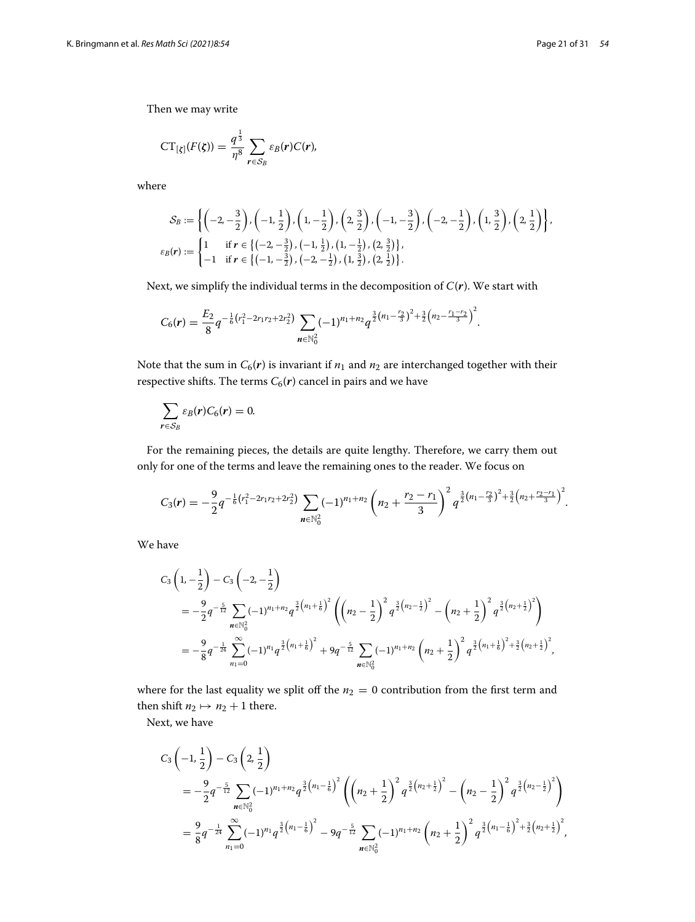Then we may write

$$
CT_{\lbrack \xi \rbrack}(F(\xi))=\frac{q^{\frac{1}{3}}}{\eta^8}\sum_{\mathbf{r}\in S_B}\varepsilon_B(\mathbf{r})C(\mathbf{r}),
$$

where

$$
\mathcal{S}_B := \left\{ \left( -2, -\frac{3}{2} \right), \left( -1, \frac{1}{2} \right), \left( 1, -\frac{1}{2} \right), \left( 2, \frac{3}{2} \right), \left( -1, -\frac{3}{2} \right), \left( -2, -\frac{1}{2} \right), \left( 1, \frac{3}{2} \right), \left( 2, \frac{1}{2} \right) \right\},\
$$
  

$$
\varepsilon_B(\mathbf{r}) := \begin{cases} 1 & \text{if } \mathbf{r} \in \left\{ \left( -2, -\frac{3}{2} \right), \left( -1, \frac{1}{2} \right), \left( 1, -\frac{1}{2} \right), \left( 2, \frac{3}{2} \right) \right\},\\ -1 & \text{if } \mathbf{r} \in \left\{ \left( -1, -\frac{3}{2} \right), \left( -2, -\frac{1}{2} \right), \left( 1, \frac{3}{2} \right), \left( 2, \frac{1}{2} \right) \right\}. \end{cases}
$$

Next, we simplify the individual terms in the decomposition of *C*(*r*). We start with\n
$$
C_6(r) = \frac{E_2}{8} q^{-\frac{1}{6}(r_1^2 - 2r_1r_2 + 2r_2^2)} \sum_{n \in \mathbb{N}_0^2} (-1)^{n_1 + n_2} q^{\frac{3}{2}(n_1 - \frac{r_2}{3})^2 + \frac{3}{2}(n_2 - \frac{r_1 - r_2}{3})^2}.
$$

Note that the sum in  $C_6(\mathbf{r})$  is invariant if  $n_1$  and  $n_2$  are interchanged together with their respective shifts. The terms  $C_6(r)$  cancel in pairs and we have

$$
\sum_{r \in S_B} \varepsilon_B(r) C_6(r) = 0.
$$

For the remaining pieces, the details are quite lengthy. Therefore, we carry them out only for one of the terms and leave the remaining ones to the reader. We focus on the term in the enginy. Therefore, we can get<br>
we the remaining ones to the reader. We focus of<br>  $2^2$ )  $\sum_{n=1}^{\infty} (-1)^{n_1+n_2} \left( n_2 + \frac{r_2 - r_1}{r_2 + r_1} \right)^2 a^{\frac{3}{2}(n_1 - \frac{r_2}{3})^2 + \frac{3}{2}}$ 

$$
C_3(r) = -\frac{9}{2}q^{-\frac{1}{6}(r_1^2 - 2r_1r_2 + 2r_2^2)} \sum_{n \in \mathbb{N}_0^2} (-1)^{n_1+n_2} \left(n_2 + \frac{r_2 - r_1}{3}\right)^2 q^{\frac{3}{2}(n_1 - \frac{r_2}{3})^2 + \frac{3}{2}(n_2 + \frac{r_2 - r_1}{3})^2}.
$$

We have

$$
C_3\left(1, -\frac{1}{2}\right) - C_3\left(-2, -\frac{1}{2}\right)
$$
  
=  $-\frac{9}{2}q^{-\frac{5}{12}}\sum_{n \in \mathbb{N}_0^2}(-1)^{n_1+n_2}q^{\frac{3}{2}\left(n_1+\frac{1}{6}\right)^2}\left(\left(n_2-\frac{1}{2}\right)^2q^{\frac{3}{2}\left(n_2-\frac{1}{2}\right)^2} - \left(n_2+\frac{1}{2}\right)^2q^{\frac{3}{2}\left(n_2+\frac{1}{2}\right)^2}\right)$   
=  $-\frac{9}{8}q^{-\frac{1}{24}}\sum_{n_1=0}^{\infty}(-1)^{n_1}q^{\frac{3}{2}\left(n_1+\frac{1}{6}\right)^2} + 9q^{-\frac{5}{12}}\sum_{n \in \mathbb{N}_0^2}(-1)^{n_1+n_2}\left(n_2+\frac{1}{2}\right)^2q^{\frac{3}{2}\left(n_1+\frac{1}{6}\right)^2+\frac{3}{2}\left(n_2+\frac{1}{2}\right)^2},$ 

where for the last equality we split off the  $n_2 = 0$  contribution from the first term and then shift  $n_2 \mapsto n_2 + 1$  there.

Next, we have

$$
C_3\left(-1,\frac{1}{2}\right)-C_3\left(2,\frac{1}{2}\right)
$$
  
= $-\frac{9}{2}q^{-\frac{5}{12}}\sum_{n\in\mathbb{N}_0^2}(-1)^{n_1+n_2}q^{\frac{3}{2}\left(n_1-\frac{1}{6}\right)^2}\left(\left(n_2+\frac{1}{2}\right)^2q^{\frac{3}{2}\left(n_2+\frac{1}{2}\right)^2}-\left(n_2-\frac{1}{2}\right)^2q^{\frac{3}{2}\left(n_2-\frac{1}{2}\right)^2}\right)$   
= $\frac{9}{8}q^{-\frac{1}{24}}\sum_{n_1=0}^{\infty}(-1)^{n_1}q^{\frac{3}{2}\left(n_1-\frac{1}{6}\right)^2}-9q^{-\frac{5}{12}}\sum_{n\in\mathbb{N}_0^2}(-1)^{n_1+n_2}\left(n_2+\frac{1}{2}\right)^2q^{\frac{3}{2}\left(n_1-\frac{1}{6}\right)^2+\frac{3}{2}\left(n_2+\frac{1}{2}\right)^2},$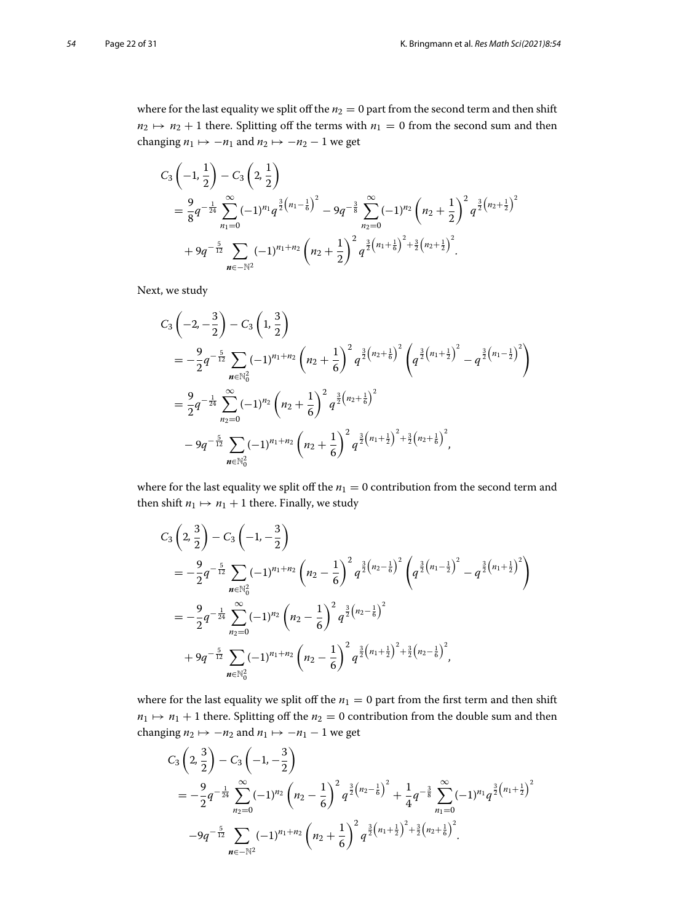where for the last equality we split off the  $n_2 = 0$  part from the second term and then shift  $n_2 \mapsto n_2 + 1$  there. Splitting off the terms with  $n_1 = 0$  from the second sum and then changing  $n_1 \mapsto -n_1$  and  $n_2 \mapsto -n_2 - 1$  we get

$$
C_3\left(-1,\frac{1}{2}\right)-C_3\left(2,\frac{1}{2}\right)
$$
  
=  $\frac{9}{8}q^{-\frac{1}{24}}\sum_{n_1=0}^{\infty}(-1)^{n_1}q^{\frac{3}{2}\left(n_1-\frac{1}{6}\right)^2}-9q^{-\frac{3}{8}}\sum_{n_2=0}^{\infty}(-1)^{n_2}\left(n_2+\frac{1}{2}\right)^2q^{\frac{3}{2}\left(n_2+\frac{1}{2}\right)^2}+9q^{-\frac{5}{12}}\sum_{n\in-\mathbb{N}^2}(-1)^{n_1+n_2}\left(n_2+\frac{1}{2}\right)^2q^{\frac{3}{2}\left(n_1+\frac{1}{6}\right)^2+\frac{3}{2}\left(n_2+\frac{1}{2}\right)^2}.$ 

Next, we study

$$
C_3\left(-2, -\frac{3}{2}\right) - C_3\left(1, \frac{3}{2}\right)
$$
  
=  $-\frac{9}{2}q^{-\frac{5}{12}}\sum_{n\in\mathbb{N}_0^2}(-1)^{n_1+n_2}\left(n_2 + \frac{1}{6}\right)^2 q^{\frac{3}{2}(n_2+\frac{1}{6})^2}\left(q^{\frac{3}{2}(n_1+\frac{1}{2})^2} - q^{\frac{3}{2}(n_1-\frac{1}{2})^2}\right)$   
=  $\frac{9}{2}q^{-\frac{1}{24}}\sum_{n_2=0}^{\infty}(-1)^{n_2}\left(n_2 + \frac{1}{6}\right)^2 q^{\frac{3}{2}(n_2+\frac{1}{6})^2}$   
-  $9q^{-\frac{5}{12}}\sum_{n\in\mathbb{N}_0^2}(-1)^{n_1+n_2}\left(n_2 + \frac{1}{6}\right)^2 q^{\frac{3}{2}(n_1+\frac{1}{2})^2+\frac{3}{2}(n_2+\frac{1}{6})^2},$ 

where for the last equality we split off the  $n_1 = 0$  contribution from the second term and then shift  $n_1 \mapsto n_1 + 1$  there. Finally, we study

$$
C_3\left(2,\frac{3}{2}\right)-C_3\left(-1,-\frac{3}{2}\right)
$$
  
= $-\frac{9}{2}q^{-\frac{5}{12}}\sum_{n\in\mathbb{N}_0^2}(-1)^{n_1+n_2}\left(n_2-\frac{1}{6}\right)^2q^{\frac{3}{2}\left(n_2-\frac{1}{6}\right)^2}\left(q^{\frac{3}{2}\left(n_1-\frac{1}{2}\right)^2}-q^{\frac{3}{2}\left(n_1+\frac{1}{2}\right)^2}\right)$   
= $-\frac{9}{2}q^{-\frac{1}{24}}\sum_{n_2=0}^{\infty}(-1)^{n_2}\left(n_2-\frac{1}{6}\right)^2q^{\frac{3}{2}\left(n_2-\frac{1}{6}\right)^2}$   
+ $9q^{-\frac{5}{12}}\sum_{n\in\mathbb{N}_0^2}(-1)^{n_1+n_2}\left(n_2-\frac{1}{6}\right)^2q^{\frac{3}{2}\left(n_1+\frac{1}{2}\right)^2+\frac{3}{2}\left(n_2-\frac{1}{6}\right)^2},$ 

where for the last equality we split off the  $n_1 = 0$  part from the first term and then shift *n*<sub>1</sub>  $\mapsto$  *n*<sub>1</sub> + 1 there. Splitting off the *n*<sub>2</sub> = 0 contribution from the double sum and then changing  $n_2 \mapsto -n_2$  and  $n_1 \mapsto -n_1 - 1$  we get

$$
C_3\left(2,\frac{3}{2}\right)-C_3\left(-1,-\frac{3}{2}\right)
$$
  
= $-\frac{9}{2}q^{-\frac{1}{24}}\sum_{n_2=0}^{\infty}(-1)^{n_2}\left(n_2-\frac{1}{6}\right)^2q^{\frac{3}{2}(n_2-\frac{1}{6})^2}+\frac{1}{4}q^{-\frac{3}{8}}\sum_{n_1=0}^{\infty}(-1)^{n_1}q^{\frac{3}{2}(n_1+\frac{1}{2})^2}$   
 $-9q^{-\frac{5}{12}}\sum_{n_1\in\mathbb{N}^2}(-1)^{n_1+n_2}\left(n_2+\frac{1}{6}\right)^2q^{\frac{3}{2}(n_1+\frac{1}{2})^2+\frac{3}{2}(n_2+\frac{1}{6})^2}.$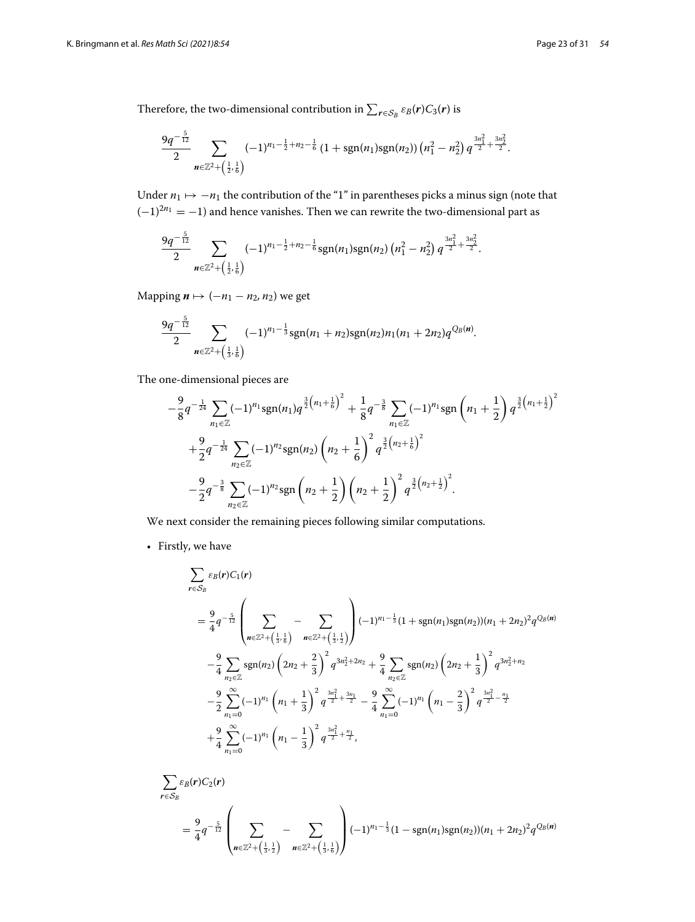Therefore, the two-dimensional contribution in  $\sum_{r \in S_B} \varepsilon_B(r) C_3(r)$  is

$$
\frac{9q^{-\frac{5}{12}}}{2}\sum_{n\in\mathbb{Z}^2+\left(\frac{1}{2},\frac{1}{6}\right)}(-1)^{n_1-\frac{1}{2}+n_2-\frac{1}{6}}(1+\text{sgn}(n_1)\text{sgn}(n_2))\left(n_1^2-n_2^2\right)q^{\frac{3n_1^2}{2}+\frac{3n_2^2}{2}}.
$$

Under  $n_1$   $\mapsto$  −*n*<sub>1</sub> the contribution of the "1" in parentheses picks a minus sign (note that  $(-1)^{2n_1} = -1$ ) and hence vanishes. Then we can rewrite the two-dimensional part as

$$
\frac{9q^{-\frac{5}{12}}}{2}\sum_{n\in\mathbb{Z}^2+\left(\frac{1}{2},\frac{1}{6}\right)}(-1)^{n_1-\frac{1}{2}+n_2-\frac{1}{6}}\mathrm{sgn}(n_1)\mathrm{sgn}(n_2)\left(n_1^2-n_2^2\right)q^{\frac{3n_1^2}{2}+\frac{3n_2^2}{2}}.
$$

Mapping *<sup>n</sup>* → (−*n*<sup>1</sup> <sup>−</sup> *<sup>n</sup>*2*, n*2) we get

$$
\frac{9q^{-\frac{5}{12}}}{2}\sum_{n\in\mathbb{Z}^2+\left(\frac{1}{3},\frac{1}{6}\right)}(-1)^{n_1-\frac{1}{3}}sgn(n_1+n_2)sgn(n_2)n_1(n_1+2n_2)q^{Q_B(n)}.
$$

The one-dimensional pieces are

ne-dimensional pieces are  
\n
$$
-\frac{9}{8}q^{-\frac{1}{24}}\sum_{n_1\in\mathbb{Z}}(-1)^{n_1}\text{sgn}(n_1)q^{\frac{3}{2}(n_1+\frac{1}{6})^2} + \frac{1}{8}q^{-\frac{3}{8}}\sum_{n_1\in\mathbb{Z}}(-1)^{n_1}\text{sgn}\left(n_1+\frac{1}{2}\right)q^{\frac{3}{2}(n_1+\frac{1}{2})^2} + \frac{9}{2}q^{-\frac{1}{24}}\sum_{n_2\in\mathbb{Z}}(-1)^{n_2}\text{sgn}(n_2)\left(n_2+\frac{1}{6}\right)^2q^{\frac{3}{2}(n_2+\frac{1}{6})^2}
$$
\n
$$
-\frac{9}{2}q^{-\frac{3}{8}}\sum_{n_2\in\mathbb{Z}}(-1)^{n_2}\text{sgn}\left(n_2+\frac{1}{2}\right)\left(n_2+\frac{1}{2}\right)^2q^{\frac{3}{2}(n_2+\frac{1}{2})^2}.
$$

We next consider the remaining pieces following similar computations.

• Firstly, we have

$$
\sum_{r \in S_B} \varepsilon_B(r) C_1(r)
$$
\n
$$
= \frac{9}{4} q^{-\frac{5}{12}} \left( \sum_{n \in \mathbb{Z}^2 + \left(\frac{1}{3}, \frac{1}{6}\right)} - \sum_{n \in \mathbb{Z}^2 + \left(\frac{1}{3}, \frac{1}{2}\right)} \right) (-1)^{n_1 - \frac{1}{3}} (1 + \text{sgn}(n_1) \text{sgn}(n_2)) (n_1 + 2n_2)^2 q^{O_B(n)}
$$
\n
$$
- \frac{9}{4} \sum_{n_2 \in \mathbb{Z}} \text{sgn}(n_2) \left( 2n_2 + \frac{2}{3} \right)^2 q^{3n_2^2 + 2n_2} + \frac{9}{4} \sum_{n_2 \in \mathbb{Z}} \text{sgn}(n_2) \left( 2n_2 + \frac{1}{3} \right)^2 q^{3n_2^2 + n_2}
$$
\n
$$
- \frac{9}{2} \sum_{n_1=0}^{\infty} (-1)^{n_1} \left( n_1 + \frac{1}{3} \right)^2 q^{\frac{3n_1^2}{2} + \frac{3n_1}{2}} - \frac{9}{4} \sum_{n_1=0}^{\infty} (-1)^{n_1} \left( n_1 - \frac{2}{3} \right)^2 q^{\frac{3n_1^2}{2} - \frac{n_1}{2}}
$$
\n
$$
+ \frac{9}{4} \sum_{n_1=0}^{\infty} (-1)^{n_1} \left( n_1 - \frac{1}{3} \right)^2 q^{\frac{3n_1^2}{2} + \frac{n_1}{2}},
$$

$$
\sum_{r \in S_B} \varepsilon_B(r) C_2(r)
$$
\n
$$
= \frac{9}{4} q^{-\frac{5}{12}} \left( \sum_{n \in \mathbb{Z}^2 + (\frac{1}{3},\frac{1}{2})} - \sum_{n \in \mathbb{Z}^2 + (\frac{1}{3},\frac{1}{6})} \right) (-1)^{n_1 - \frac{1}{3}} (1 - \text{sgn}(n_1) \text{sgn}(n_2)) (n_1 + 2n_2)^2 q^{O_B(n)}
$$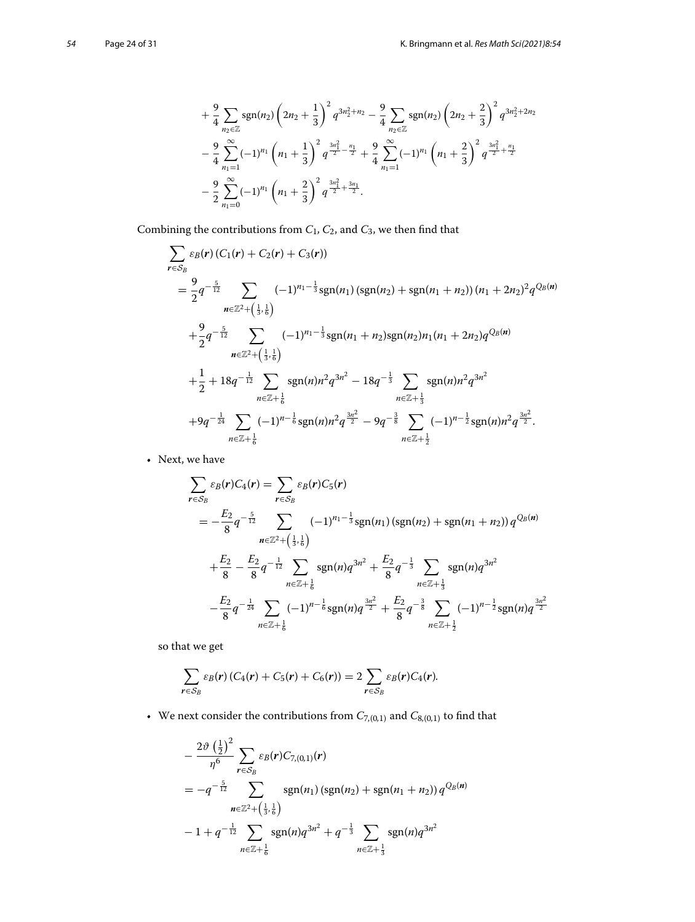$$
+\frac{9}{4}\sum_{n_2\in\mathbb{Z}}sgn(n_2)\left(2n_2+\frac{1}{3}\right)^2q^{3n_2^2+n_2}-\frac{9}{4}\sum_{n_2\in\mathbb{Z}}sgn(n_2)\left(2n_2+\frac{2}{3}\right)^2q^{3n_2^2+2n_2}
$$
  

$$
-\frac{9}{4}\sum_{n_1=1}^{\infty}(-1)^{n_1}\left(n_1+\frac{1}{3}\right)^2q^{\frac{3n_1^2}{2}-\frac{n_1}{2}}+\frac{9}{4}\sum_{n_1=1}^{\infty}(-1)^{n_1}\left(n_1+\frac{2}{3}\right)^2q^{\frac{3n_1^2}{2}+\frac{n_1}{2}}
$$
  

$$
-\frac{9}{2}\sum_{n_1=0}^{\infty}(-1)^{n_1}\left(n_1+\frac{2}{3}\right)^2q^{\frac{3n_1^2}{2}+\frac{3n_1}{2}}.
$$

Combining the contributions from  $C_1$ ,  $C_2$ , and  $C_3$ , we then find that

$$
\sum_{\mathbf{r}\in\mathcal{S}_{B}}\varepsilon_{B}(\mathbf{r})\left(C_{1}(\mathbf{r})+C_{2}(\mathbf{r})+C_{3}(\mathbf{r})\right)
$$
\n
$$
=\frac{9}{2}q^{-\frac{5}{12}}\sum_{\mathbf{n}\in\mathbb{Z}^{2}+\left(\frac{1}{3},\frac{1}{6}\right)}(-1)^{n_{1}-\frac{1}{3}}\mathrm{sgn}(n_{1})\left(\mathrm{sgn}(n_{2})+\mathrm{sgn}(n_{1}+n_{2})\right)(n_{1}+2n_{2})^{2}q^{O_{B}(\mathbf{n})}
$$
\n
$$
+\frac{9}{2}q^{-\frac{5}{12}}\sum_{\mathbf{n}\in\mathbb{Z}^{2}+\left(\frac{1}{3},\frac{1}{6}\right)}(-1)^{n_{1}-\frac{1}{3}}\mathrm{sgn}(n_{1}+n_{2})\mathrm{sgn}(n_{2})n_{1}(n_{1}+2n_{2})q^{O_{B}(\mathbf{n})}
$$
\n
$$
+\frac{1}{2}+18q^{-\frac{1}{12}}\sum_{\mathbf{n}\in\mathbb{Z}+\frac{1}{6}}\mathrm{sgn}(\mathbf{n})n^{2}q^{3n^{2}}-18q^{-\frac{1}{3}}\sum_{\mathbf{n}\in\mathbb{Z}+\frac{1}{3}}\mathrm{sgn}(\mathbf{n})n^{2}q^{3n^{2}}
$$
\n
$$
+9q^{-\frac{1}{24}}\sum_{\mathbf{n}\in\mathbb{Z}+\frac{1}{6}}(-1)^{n-\frac{1}{6}}\mathrm{sgn}(\mathbf{n})n^{2}q^{\frac{3n^{2}}{2}}-9q^{-\frac{3}{8}}\sum_{\mathbf{n}\in\mathbb{Z}+\frac{1}{2}}(-1)^{n-\frac{1}{2}}\mathrm{sgn}(\mathbf{n})n^{2}q^{\frac{3n^{2}}{2}}.
$$

• Next, we have

$$
{}_{n\in\mathbb{Z}+\frac{1}{6}}
$$
\nwe have\n
$$
\sum_{\mathbf{r}\in S_B} \varepsilon_B(\mathbf{r})C_4(\mathbf{r}) = \sum_{\mathbf{r}\in S_B} \varepsilon_B(\mathbf{r})C_5(\mathbf{r})
$$
\n
$$
= -\frac{E_2}{8}q^{-\frac{5}{12}} \sum_{\mathbf{n}\in\mathbb{Z}^2+\left(\frac{1}{3},\frac{1}{6}\right)} (-1)^{n_1-\frac{1}{3}}\text{sgn}(n_1)\left(\text{sgn}(n_2) + \text{sgn}(n_1 + n_2)\right)q^{O_B(n)}
$$
\n
$$
+ \frac{E_2}{8} - \frac{E_2}{8}q^{-\frac{1}{12}} \sum_{\mathbf{n}\in\mathbb{Z}+\frac{1}{6}} \text{sgn}(n)q^{3n^2} + \frac{E_2}{8}q^{-\frac{1}{3}} \sum_{\mathbf{n}\in\mathbb{Z}+\frac{1}{3}} \text{sgn}(n)q^{3n^2}
$$
\n
$$
- \frac{E_2}{8}q^{-\frac{1}{24}} \sum_{\mathbf{n}\in\mathbb{Z}+\frac{1}{6}} (-1)^{n-\frac{1}{6}}\text{sgn}(n)q^{\frac{3n^2}{2}} + \frac{E_2}{8}q^{-\frac{3}{8}} \sum_{\mathbf{n}\in\mathbb{Z}+\frac{1}{2}} (-1)^{n-\frac{1}{2}}\text{sgn}(n)q^{\frac{3n^2}{2}}
$$

so that we get

$$
\sum_{r \in S_B} \varepsilon_B(r) (C_4(r) + C_5(r) + C_6(r)) = 2 \sum_{r \in S_B} \varepsilon_B(r) C_4(r).
$$

• We next consider the contributions from  $C_{7,(0,1)}$  and  $C_{8,(0,1)}$  to find that

ext consider the contributions from 
$$
C_{7,(0,1)}
$$
 and  $C_{8,(0,1)}$  to fir  
\n
$$
-\frac{2\vartheta(\frac{1}{2})^2}{\eta^6} \sum_{r \in S_B} \varepsilon_B(r) C_{7,(0,1)}(r)
$$
\n
$$
= -q^{-\frac{5}{12}} \sum_{n \in \mathbb{Z}^2 + (\frac{1}{3}, \frac{1}{6})} \text{sgn}(n_1) (\text{sgn}(n_2) + \text{sgn}(n_1 + n_2)) q^{Q_B(n)}
$$
\n
$$
-1 + q^{-\frac{1}{12}} \sum_{n \in \mathbb{Z} + \frac{1}{6}} \text{sgn}(n) q^{3n^2} + q^{-\frac{1}{3}} \sum_{n \in \mathbb{Z} + \frac{1}{3}} \text{sgn}(n) q^{3n^2}
$$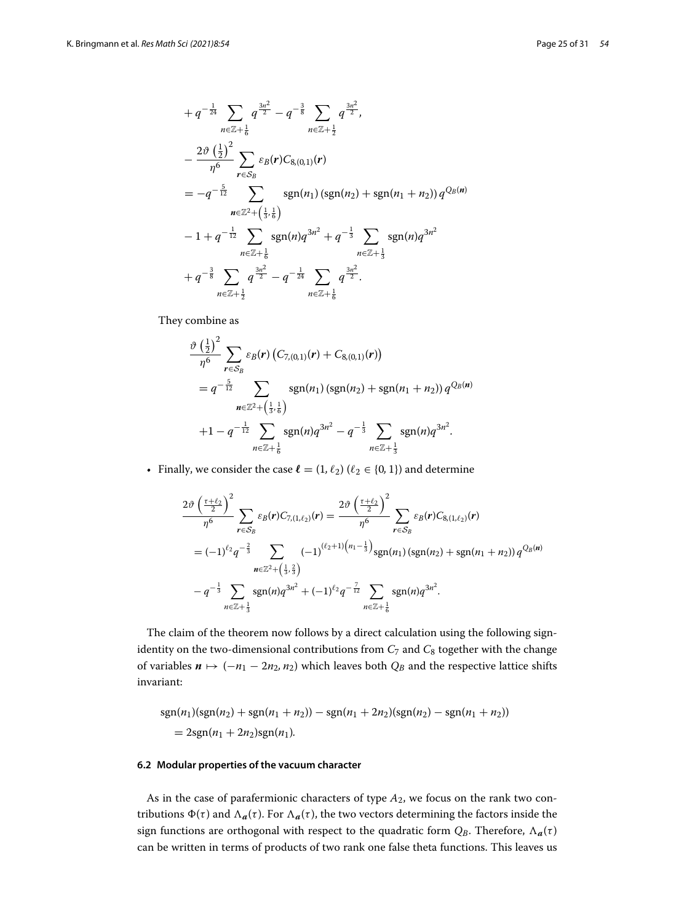$$
+ q^{-\frac{1}{24}} \sum_{n \in \mathbb{Z} + \frac{1}{6}} q^{\frac{3n^2}{2}} - q^{-\frac{3}{8}} \sum_{n \in \mathbb{Z} + \frac{1}{2}} q^{\frac{3n^2}{2}},
$$
  
\n
$$
- \frac{2\vartheta(\frac{1}{2})^2}{\eta^6} \sum_{r \in S_B} \varepsilon_B(r) C_{8,(0,1)}(r)
$$
  
\n
$$
= -q^{-\frac{5}{12}} \sum_{n \in \mathbb{Z}^2 + (\frac{1}{3}, \frac{1}{6})} \operatorname{sgn}(n_1) (\operatorname{sgn}(n_2) + \operatorname{sgn}(n_1 + n_2)) q^{Q_B(n)}
$$
  
\n
$$
-1 + q^{-\frac{1}{12}} \sum_{n \in \mathbb{Z} + \frac{1}{6}} \operatorname{sgn}(n) q^{3n^2} + q^{-\frac{1}{3}} \sum_{n \in \mathbb{Z} + \frac{1}{3}} \operatorname{sgn}(n) q^{3n^2}
$$
  
\n
$$
+ q^{-\frac{3}{8}} \sum_{n \in \mathbb{Z} + \frac{1}{2}} q^{\frac{3n^2}{2}} - q^{-\frac{1}{24}} \sum_{n \in \mathbb{Z} + \frac{1}{6}} q^{\frac{3n^2}{2}}.
$$

They combine as

$$
\lim_{n \in \mathbb{Z} + \frac{1}{2}} n \leq \mathbb{Z} + \frac{1}{6}
$$
\n
$$
\frac{\partial \left(\frac{1}{2}\right)^2}{\eta^6} \sum_{r \in S_B} \varepsilon_B(r) \left( C_{7,(0,1)}(r) + C_{8,(0,1)}(r) \right)
$$
\n
$$
= q^{-\frac{5}{12}} \sum_{n \in \mathbb{Z}^2 + \left(\frac{1}{3}, \frac{1}{6}\right)} \operatorname{sgn}(n_1) \left( \operatorname{sgn}(n_2) + \operatorname{sgn}(n_1 + n_2) \right) q^{Q_B(n)}
$$
\n
$$
+1 - q^{-\frac{1}{12}} \sum_{n \in \mathbb{Z} + \frac{1}{6}} \operatorname{sgn}(n) q^{3n^2} - q^{-\frac{1}{3}} \sum_{n \in \mathbb{Z} + \frac{1}{3}} \operatorname{sgn}(n) q^{3n^2}.
$$

• Finally, we consider the case  $\ell = (1, \ell_2)$  ( $\ell_2 \in \{0, 1\}$ ) and determine ier in Silvia.<br>Linda  $) a$ 

$$
\frac{2\vartheta\left(\frac{\tau+\ell_2}{2}\right)^2}{\eta^6} \sum_{\mathbf{r}\in\mathcal{S}_B} \varepsilon_B(\mathbf{r}) C_{7,(1,\ell_2)}(\mathbf{r}) = \frac{2\vartheta\left(\frac{\tau+\ell_2}{2}\right)^2}{\eta^6} \sum_{\mathbf{r}\in\mathcal{S}_B} \varepsilon_B(\mathbf{r}) C_{8,(1,\ell_2)}(\mathbf{r})
$$
  
=  $(-1)^{\ell_2} q^{-\frac{2}{3}} \sum_{\mathbf{n}\in\mathbb{Z}^2+\left(\frac{1}{3},\frac{2}{3}\right)} (-1)^{(\ell_2+1)\left(n_1-\frac{1}{3}\right)} \text{sgn}(n_1) \left(\text{sgn}(n_2) + \text{sgn}(n_1+n_2)\right) q^{Q_B(\mathbf{n})}$   
 $-q^{-\frac{1}{3}} \sum_{\mathbf{n}\in\mathbb{Z}+\frac{1}{3}} \text{sgn}(n) q^{3n^2} + (-1)^{\ell_2} q^{-\frac{7}{12}} \sum_{\mathbf{n}\in\mathbb{Z}+\frac{1}{6}} \text{sgn}(n) q^{3n^2}.$ 

The claim of the theorem now follows by a direct calculation using the following signidentity on the two-dimensional contributions from  $C_7$  and  $C_8$  together with the change of variables  $n$  → (−*n*<sub>1</sub> − 2*n*<sub>2</sub>*, n*<sub>2</sub>) which leaves both  $Q_B$  and the respective lattice shifts invariant:

$$
sgn(n_1)(sgn(n_2) + sgn(n_1 + n_2)) - sgn(n_1 + 2n_2)(sgn(n_2) - sgn(n_1 + n_2))
$$
  
= 2sgn(n\_1 + 2n\_2)sgn(n\_1).

#### **6.2 Modular properties of the vacuum character**

As in the case of parafermionic characters of type *A*2, we focus on the rank two contributions  $\Phi(\tau)$  and  $\Lambda_a(\tau)$ . For  $\Lambda_a(\tau)$ , the two vectors determining the factors inside the sign functions are orthogonal with respect to the quadratic form  $Q_B$ . Therefore,  $\Lambda_a(\tau)$ can be written in terms of products of two rank one false theta functions. This leaves us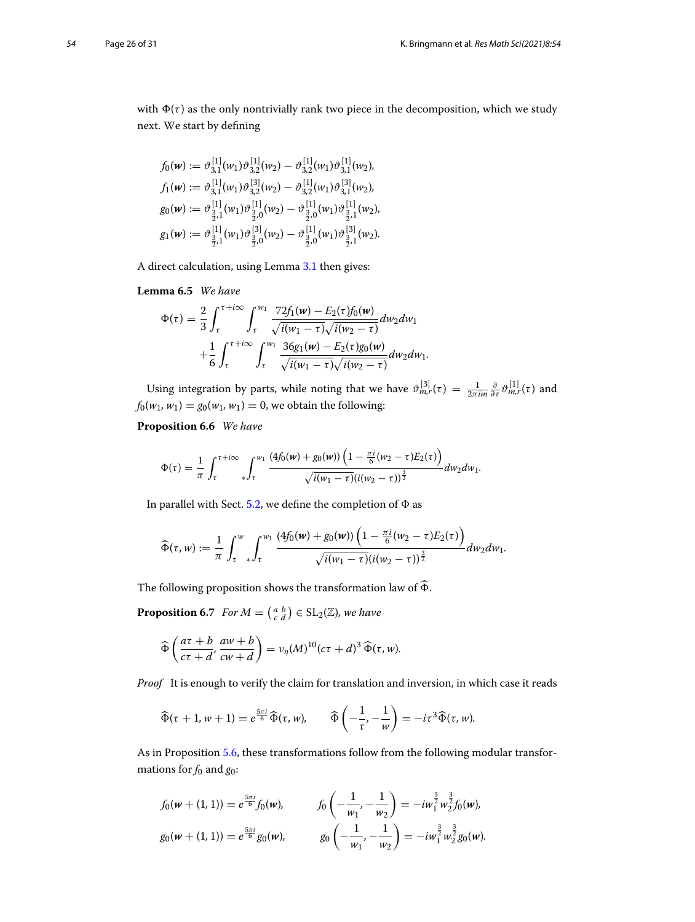with  $\Phi(\tau)$  as the only nontrivially rank two piece in the decomposition, which we study next. We start by defining

$$
f_0(w) := \vartheta_{3,1}^{[1]}(w_1)\vartheta_{3,2}^{[1]}(w_2) - \vartheta_{3,2}^{[1]}(w_1)\vartheta_{3,1}^{[1]}(w_2),
$$
  
\n
$$
f_1(w) := \vartheta_{3,1}^{[1]}(w_1)\vartheta_{3,2}^{[3]}(w_2) - \vartheta_{3,2}^{[1]}(w_1)\vartheta_{3,1}^{[3]}(w_2),
$$
  
\n
$$
g_0(w) := \vartheta_{\frac{3}{2},1}^{[1]}(w_1)\vartheta_{\frac{3}{2},0}^{[1]}(w_2) - \vartheta_{\frac{3}{2},0}^{[1]}(w_1)\vartheta_{\frac{3}{2},1}^{[1]}(w_2),
$$
  
\n
$$
g_1(w) := \vartheta_{\frac{3}{2},1}^{[1]}(w_1)\vartheta_{\frac{3}{2},0}^{[3]}(w_2) - \vartheta_{\frac{3}{2},0}^{[1]}(w_1)\vartheta_{\frac{3}{2},1}^{[3]}(w_2).
$$

A direct calculation, using Lemma [3.1](#page-6-0) then gives:

#### **Lemma 6.5** *We have*

$$
\Phi(\tau) = \frac{2}{3} \int_{\tau}^{\tau + i\infty} \int_{\tau}^{w_1} \frac{72f_1(w) - E_2(\tau)f_0(w)}{\sqrt{i(w_1 - \tau)}\sqrt{i(w_2 - \tau)}} dw_2 dw_1 \n+ \frac{1}{6} \int_{\tau}^{\tau + i\infty} \int_{\tau}^{w_1} \frac{36g_1(w) - E_2(\tau)g_0(w)}{\sqrt{i(w_1 - \tau)}\sqrt{i(w_2 - \tau)}} dw_2 dw_1.
$$

Using integration by parts, while noting that we have  $\vartheta_{m,r}^{[3]}(\tau) = \frac{1}{2\pi im} \frac{\partial}{\partial \tau} \vartheta_{m,r}^{[1]}(\tau)$  and  $f_0(w_1, w_1) = g_0(w_1, w_1) = 0$ , we obtain the following:

# **Proposition 6.6** *We have*

<span id="page-25-0"></span>
$$
\Phi(\tau) = \frac{1}{\pi} \int_{\tau}^{\tau + i\infty} \int_{\tau}^{w_1} \frac{(4f_0(w) + g_0(w)) \left(1 - \frac{\pi i}{6}(w_2 - \tau) E_2(\tau)\right)}{\sqrt{i(w_1 - \tau)} (i(w_2 - \tau))^{\frac{3}{2}}} dw_2 dw_1.
$$

In parallel with Sect. [5.2,](#page-10-0) we define the completion of  $\Phi$  as

In parameter with Sect. 5.2, we define the complement of 
$$
\Phi
$$
 as  
\n
$$
\widehat{\Phi}(\tau, w) := \frac{1}{\pi} \int_{\tau}^{w} \int_{\tau}^{w_1} \frac{(4f_0(w) + g_0(w)) (1 - \frac{\pi i}{6}(w_2 - \tau)E_2(\tau))}{\sqrt{i(w_1 - \tau)}(i(w_2 - \tau))^{\frac{3}{2}}} dw_2 dw_1.
$$
\nThe following proposition shows the transformation law of  $\widehat{\Phi}$ .

<span id="page-25-1"></span>The following proposition shows the transformation law  
\n**Proposition 6.7** For 
$$
M = \begin{pmatrix} a & b \\ c & d \end{pmatrix} \in SL_2(\mathbb{Z})
$$
, we have  
\n
$$
\widehat{\Phi} \left( \frac{a\tau + b}{c\tau + d}, \frac{aw + b}{cw + d} \right) = v_{\eta}(M)^{10}(c\tau + d)^3 \widehat{\Phi}(\tau, w).
$$

*Proof* It is enough to verify the claim for translation and inversion, in which case it reads  
\n
$$
\widehat{\Phi}(\tau + 1, w + 1) = e^{\frac{5\pi i}{6}} \widehat{\Phi}(\tau, w), \qquad \widehat{\Phi}\left(-\frac{1}{\tau}, -\frac{1}{w}\right) = -i\tau^3 \widehat{\Phi}(\tau, w).
$$

As in Proposition [5.6,](#page-15-1) these transformations follow from the following modular transformations for *f*<sup>0</sup> and *g*0:

$$
f_0(w + (1, 1)) = e^{\frac{5\pi i}{6}} f_0(w), \qquad f_0\left(-\frac{1}{w_1}, -\frac{1}{w_2}\right) = -iw_1^{\frac{3}{2}} w_2^{\frac{3}{2}} f_0(w),
$$
  
\n
$$
g_0(w + (1, 1)) = e^{\frac{5\pi i}{6}} g_0(w), \qquad g_0\left(-\frac{1}{w_1}, -\frac{1}{w_2}\right) = -iw_1^{\frac{3}{2}} w_2^{\frac{3}{2}} g_0(w).
$$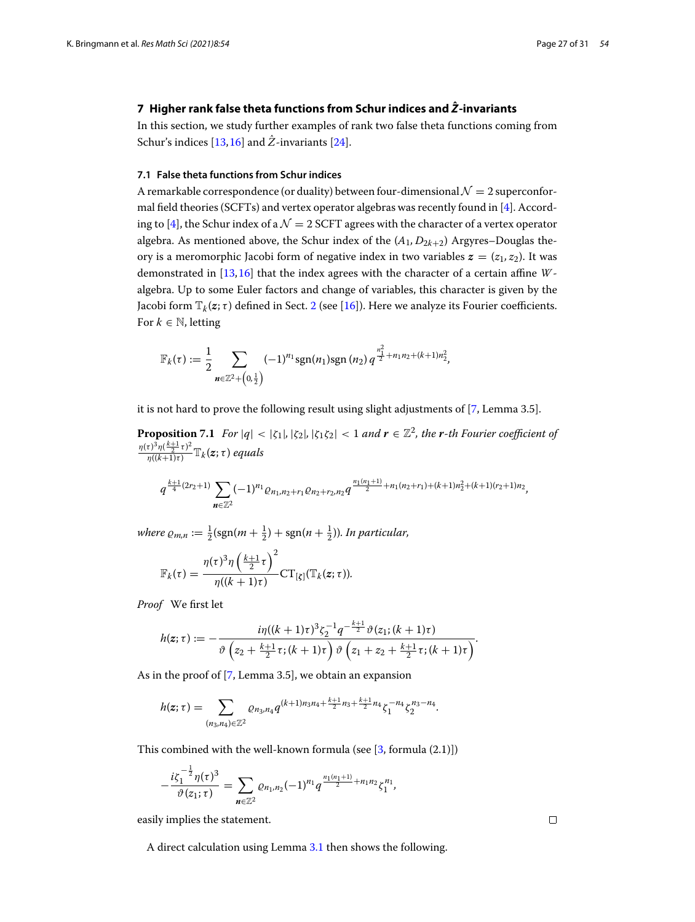# <span id="page-26-0"></span>**7 Higher rank false theta functions from Schur indices and** *Z***ˆ -invariants**

In this section, we study further examples of rank two false theta functions coming from Schur's indices  $[13,16]$  $[13,16]$  and  $\hat{Z}$ -invariants  $[24]$ .

#### **7.1 False theta functions from Schur indices**

A remarkable correspondence (or duality) between four-dimensional  $\mathcal{N}=2$  superconformal field theories (SCFTs) and vertex operator algebras was recently found in [\[4\]](#page-30-13). Accord-ing to [\[4\]](#page-30-13), the Schur index of a  $\mathcal{N}=2$  SCFT agrees with the character of a vertex operator algebra. As mentioned above, the Schur index of the  $(A_1, D_{2k+2})$  Argyres–Douglas theory is a meromorphic Jacobi form of negative index in two variables  $z = (z_1, z_2)$ . It was demonstrated in [\[13](#page-30-14),[16](#page-30-16)] that the index agrees with the character of a certain affine *W*algebra. Up to some Euler factors and change of variables, this character is given by the Jacobi form  $\mathbb{T}_k(z;\tau)$  defined in Sect. [2](#page-4-0) (see [\[16\]](#page-30-16)). Here we analyze its Fourier coefficients. For  $k \in \mathbb{N}$ , letting

$$
\mathbb{F}_{k}(\tau) := \frac{1}{2} \sum_{n \in \mathbb{Z}^{2} + \left(0, \frac{1}{2}\right)} (-1)^{n_1} \text{sgn}(n_1) \text{sgn}(n_2) q^{\frac{n_1^2}{2} + n_1 n_2 + (k+1) n_2^2},
$$

it is not hard to prove the following result using slight adjustments of [\[7,](#page-30-5) Lemma 3.5].

**Proposition 7.1** *For*  $|q| < |\zeta_1|, |\zeta_2|, |\zeta_1 \zeta_2| < 1$  *and*  $r \in \mathbb{Z}^2$ *, the r-th Fourier coefficient of*  $\frac{\eta(\tau)^3 \eta(\frac{k+1}{2}\tau)^2}{\eta((k+1)\tau)} \mathbb{T}_k(z;\tau)$  *equals*<br>  $\frac{k+1}{4}(2r_2+1) \sum_{k=1}^{\infty} (-1)^{k}$ 

$$
q^{\frac{k+1}{4}(2r_2+1)}\sum_{n\in\mathbb{Z}^2}(-1)^{n_1}e_{n_1,n_2+r_1}e_{n_2+r_2,n_2}q^{\frac{n_1(n_1+1)}{2}+n_1(n_2+r_1)+(k+1)n_2^2+(k+1)(r_2+1)n_2},
$$

*where*  $\rho_{m,n} := \frac{1}{2} (\text{sgn}(m + \frac{1}{2}) + \text{sgn}(n + \frac{1}{2}))$ *. In particular,* 

$$
\mathbb{F}_{k}(\tau) = \frac{\eta(\tau)^{3} \eta\left(\frac{k+1}{2}\tau\right)^{2}}{\eta((k+1)\tau)} \mathrm{CT}_{\left[\zeta\right]}(\mathbb{T}_{k}(\mathbf{z};\tau)).
$$

*Proof* We first let

$$
h(z;\tau):=-\frac{i\eta((k+1)\tau)^3\zeta_2^{-1}q^{-\frac{k+1}{2}}\vartheta(z_1;(k+1)\tau)}{\vartheta\left(z_2+\frac{k+1}{2}\tau;(k+1)\tau\right)\vartheta\left(z_1+z_2+\frac{k+1}{2}\tau;(k+1)\tau\right)}.
$$

As in the proof of [\[7,](#page-30-5) Lemma 3.5], we obtain an expansion

$$
\left(2^{j} + 2^{j} \right) \left(1 + 2^{j} \right) \left(2^{j} \right)
$$
\nThe proof of [7, Lemma 3.5], we obtain an expansion

\n
$$
h(z; \tau) = \sum_{(n_3, n_4) \in \mathbb{Z}^2} \varrho_{n_3, n_4} q^{(k+1)n_3 n_4 + \frac{k+1}{2} n_3 + \frac{k+1}{2} n_4} \zeta_1^{-n_4} \zeta_2^{n_3 - n_4}.
$$

This combined with the well-known formula (see [\[3,](#page-30-28) formula (2.1)])

combined with the well-known formula (see [3, for  
\n
$$
-\frac{i\zeta_1^{-\frac{1}{2}}\eta(\tau)^3}{\vartheta(z_1;\tau)} = \sum_{n\in\mathbb{Z}^2} \varrho_{n_1,n_2}(-1)^{n_1} q^{\frac{n_1(n_1+1)}{2}+n_1n_2} \zeta_1^{n_1},
$$

easily implies the statement.

<span id="page-26-1"></span>− 1

A direct calculation using Lemma [3.1](#page-6-0) then shows the following.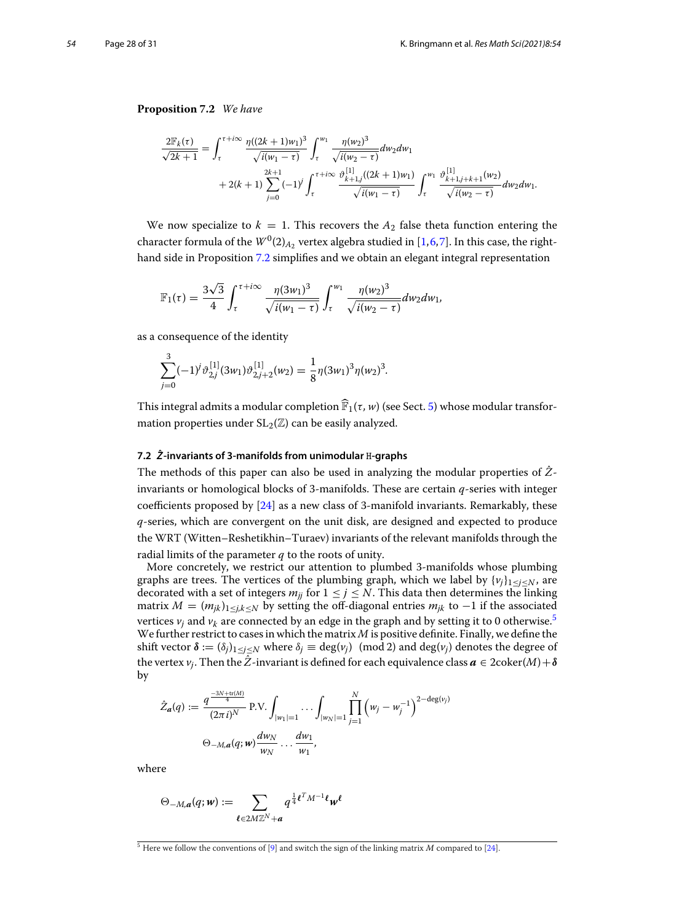# **Proposition 7.2** *We have*

$$
\frac{2\mathbb{F}_{k}(\tau)}{\sqrt{2k+1}} = \int_{\tau}^{\tau+i\infty} \frac{\eta((2k+1)w_{1})^{3}}{\sqrt{i(w_{1}-\tau)}} \int_{\tau}^{w_{1}} \frac{\eta(w_{2})^{3}}{\sqrt{i(w_{2}-\tau)}} dw_{2} dw_{1} + 2(k+1) \sum_{j=0}^{2k+1} (-1)^{j} \int_{\tau}^{\tau+i\infty} \frac{\vartheta_{k+1,j}^{[1]}((2k+1)w_{1})}{\sqrt{i(w_{1}-\tau)}} \int_{\tau}^{w_{1}} \frac{\vartheta_{k+1,j+k+1}^{[1]}(w_{2})}{\sqrt{i(w_{2}-\tau)}} dw_{2} dw_{1}.
$$

We now specialize to  $k = 1$ . This recovers the  $A_2$  false theta function entering the character formula of the  $W^0(2)_{A_2}$  vertex algebra studied in [\[1,](#page-30-29)[6,](#page-30-30)[7\]](#page-30-5). In this case, the righthand side in Proposition [7.2](#page-26-1) simplifies and we obtain an elegant integral representation

$$
\mathbb{F}_1(\tau) = \frac{3\sqrt{3}}{4} \int_{\tau}^{\tau + i\infty} \frac{\eta(3w_1)^3}{\sqrt{i(w_1 - \tau)}} \int_{\tau}^{w_1} \frac{\eta(w_2)^3}{\sqrt{i(w_2 - \tau)}} dw_2 dw_1,
$$

as a consequence of the identity

$$
\sum_{j=0}^{3} (-1)^{j} \vartheta_{2,j}^{[1]}(3w_1) \vartheta_{2,j+2}^{[1]}(w_2) = \frac{1}{8} \eta(3w_1)^3 \eta(w_2)^3.
$$
  
This integral admits a modular completion  $\widehat{\mathbb{F}}_1(\tau, w)$  (see Sect. 5) whose modular transfor-

mation properties under  $SL_2(\mathbb{Z})$  can be easily analyzed.

#### **7.2** *Z***ˆ -invariants of 3-manifolds from unimodular** H**-graphs**

The methods of this paper can also be used in analyzing the modular properties of *Z*ˆinvariants or homological blocks of 3-manifolds. These are certain *q*-series with integer coefficients proposed by  $[24]$  as a new class of 3-manifold invariants. Remarkably, these *q*-series, which are convergent on the unit disk, are designed and expected to produce the WRT (Witten–Reshetikhin–Turaev) invariants of the relevant manifolds through the radial limits of the parameter *q* to the roots of unity.

More concretely, we restrict our attention to plumbed 3-manifolds whose plumbing graphs are trees. The vertices of the plumbing graph, which we label by  $\{v_i\}_{1\leq i\leq N}$ , are decorated with a set of integers  $m_{ij}$  for  $1 \leq j \leq N$ . This data then determines the linking matrix  $M = (m_{jk})_{1 \leq j,k \leq N}$  by setting the off-diagonal entries  $m_{jk}$  to −1 if the associated vertices  $v_j$  and  $v_k$  are connected by an edge in the graph and by setting it to 0 otherwise.<sup>5</sup> We further restrict to cases in which the matrix *M* is positive definite. Finally, we define the shift vector  $\delta := (\delta_i)_{1 \le i \le N}$  where  $\delta_i \equiv \deg(v_i) \pmod{2}$  and  $\deg(v_i)$  denotes the degree of the vertex *v<sub>j</sub>*. Then the  $\hat{Z}$ -invariant is defined for each equivalence class  $\mathbf{a} \in 2\text{coker}(M) + \delta$ <br>by<br> $\hat{Z}_{\mathbf{a}}(q) := \frac{q^{\frac{-3N+\text{tr}(M)}{4}}}{(q) \Delta N} P.V. \int_{\mathbb{R}^{3}} \dots \int_{\mathbb{R}^{3}} \left( w_j - w_j^{-1} \right)^{2-\text{deg}(v_j)}$ by

$$
\hat{Z}_{\boldsymbol{a}}(q) := \frac{q^{\frac{-3N + \text{tr}(M)}{4}}}{(2\pi i)^N} \text{ P.V.} \int_{|w_1| = 1} \dots \int_{|w_N| = 1} \prod_{j=1}^N (w_j - w_j^{-1})^{2 - \deg(v_j)}
$$

$$
\Theta_{-M, \boldsymbol{a}}(q; \boldsymbol{w}) \frac{dw_N}{w_N} \dots \frac{dw_1}{w_1},
$$

where

ve  
\n
$$
w_N \t w_1
$$
\n
$$
\Theta_{-M,\boldsymbol{a}}(q;\boldsymbol{w}) := \sum_{\boldsymbol{\ell} \in 2M \mathbb{Z}^N + \boldsymbol{a}} q^{\frac{1}{4}\boldsymbol{\ell}^T M^{-1} \boldsymbol{\ell}} \boldsymbol{w}^{\boldsymbol{\ell}}
$$

<span id="page-27-0"></span><sup>5</sup> Here we follow the conventions of [\[9](#page-30-18)] and switch the sign of the linking matrix *M* compared to [\[24\]](#page-30-17).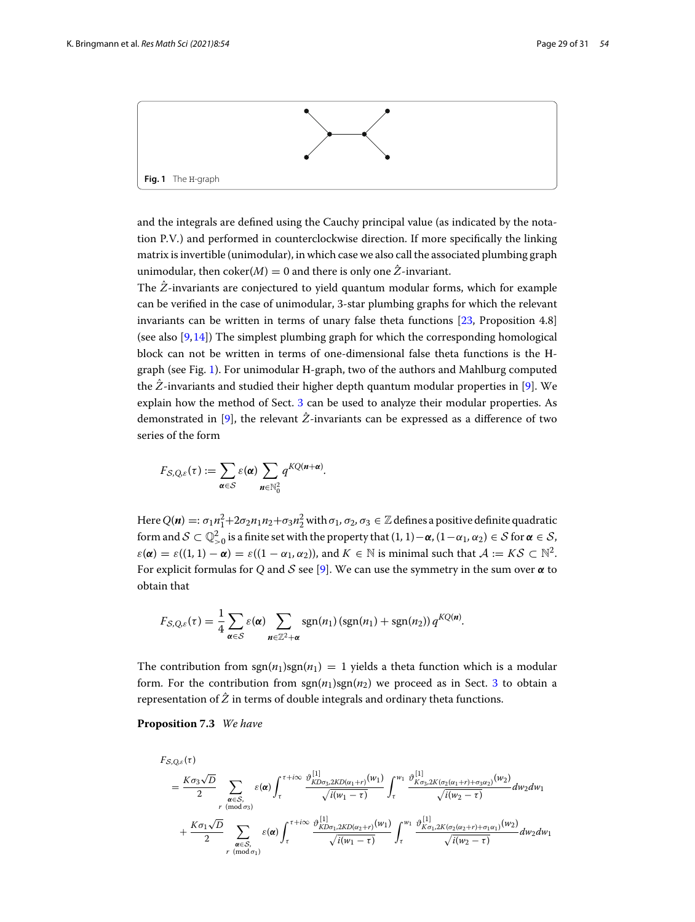

<span id="page-28-0"></span>and the integrals are defined using the Cauchy principal value (as indicated by the notation P*.*V*.*) and performed in counterclockwise direction. If more specifically the linking matrix is invertible (unimodular), in which case we also call the associated plumbing graph unimodular, then  $\mathrm{coker}(M) = 0$  and there is only one  $\hat{Z}$ -invariant.

The *Z*ˆ-invariants are conjectured to yield quantum modular forms, which for example can be verified in the case of unimodular, 3-star plumbing graphs for which the relevant invariants can be written in terms of unary false theta functions [\[23](#page-30-21), Proposition 4.8] (see also [\[9,](#page-30-18)[14\]](#page-30-19)) The simplest plumbing graph for which the corresponding homological block can not be written in terms of one-dimensional false theta functions is the Hgraph (see Fig. [1\)](#page-28-0). For unimodular H-graph, two of the authors and Mahlburg computed the *Z*ˆ-invariants and studied their higher depth quantum modular properties in [\[9](#page-30-18)]. We explain how the method of Sect. [3](#page-6-1) can be used to analyze their modular properties. As demonstrated in [\[9](#page-30-18)], the relevant  $\hat{Z}$ -invariants can be expressed as a difference of two series of the form *FS,Q,ε*(τ) :=  $\sum$ 

$$
F_{S,Q,\varepsilon}(\tau) := \sum_{\alpha \in S} \varepsilon(\alpha) \sum_{n \in \mathbb{N}_0^2} q^{KQ(n+\alpha)}
$$

Here  $Q(n) =: \sigma_1 n_1^2 + 2\sigma_2 n_1 n_2 + \sigma_3 n_2^2$  with  $\sigma_1, \sigma_2, \sigma_3 \in \mathbb{Z}$  defines a positive definite quadratic form and  $\mathcal{S} \subset \mathbb{Q}_{>0}^2$  is a finite set with the property that  $(1,1)-\alpha$ ,  $(1-\alpha_1, \alpha_2) \in \mathcal{S}$  for  $\alpha \in \mathcal{S}$ ,  $\varepsilon(\alpha) = \varepsilon((1, 1) - \alpha) = \varepsilon((1 - \alpha_1, \alpha_2))$ , and  $K \in \mathbb{N}$  is minimal such that  $A := KS \subset \mathbb{N}^2$ . For explicit formulas for *Q* and *S* see [\[9](#page-30-18)]. We can use the symmetry in the sum over *α* to obtain that<br>  $F_{S,Q,\varepsilon}(\tau) = \frac{1}{\tau} \sum \varepsilon(\alpha) \sum \frac{\text{sgn}(n_1)(\text{sgn}(n_1) + \text{sgn}(n_2)) q^{KQ(n)}}{\sigma^2}$ . obtain that

*.*

$$
F_{\mathcal{S},Q,\varepsilon}(\tau)=\frac{1}{4}\sum_{\alpha\in\mathcal{S}}\varepsilon(\alpha)\sum_{n\in\mathbb{Z}^2+\alpha}\operatorname{sgn}(n_1)\left(\operatorname{sgn}(n_1)+\operatorname{sgn}(n_2)\right)q^{KQ(n)}.
$$

The contribution from  $sgn(n_1)sgn(n_1) = 1$  yields a theta function which is a modular form. For the contribution from  $\text{sgn}(n_1)\text{sgn}(n_2)$  we proceed as in Sect. [3](#page-6-1) to obtain a representation of  $\hat{Z}$  in terms of double integrals and ordinary theta functions.

**Proposition 7.3** *We have*

$$
F_{S,Q,\varepsilon}(\tau) = \frac{K\sigma_3\sqrt{D}}{2} \sum_{\substack{\alpha \in S, \\ r \pmod{\sigma_3}}} \varepsilon(\alpha) \int_{\tau}^{\tau+i\infty} \frac{\vartheta^{[1]}_{K D \sigma_3, 2K D(\alpha_1+r)}(w_1)}{\sqrt{i(w_1-\tau)}} \int_{\tau}^{w_1} \frac{\vartheta^{[1]}_{K \sigma_3, 2K(\sigma_2(\alpha_1+r)+\sigma_3\alpha_2)}(w_2)}{\sqrt{i(w_2-\tau)}} dw_2 dw_1 + \frac{K\sigma_1\sqrt{D}}{2} \sum_{\substack{\alpha \in S, \\ r \pmod{\sigma_1}}} \varepsilon(\alpha) \int_{\tau}^{\tau+i\infty} \frac{\vartheta^{[1]}_{K D \sigma_1, 2K D(\alpha_2+r)}(w_1)}{\sqrt{i(w_1-\tau)}} \int_{\tau}^{w_1} \frac{\vartheta^{[1]}_{K \sigma_1, 2K(\sigma_2(\alpha_2+r)+\sigma_1\alpha_1)}(w_2)}{\sqrt{i(w_2-\tau)}} dw_2 dw_1
$$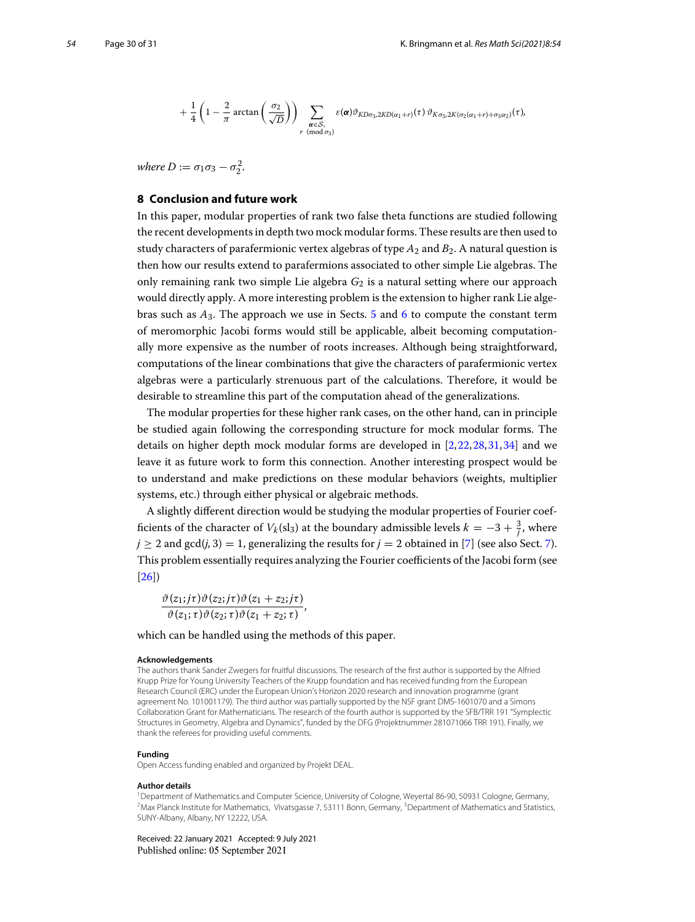$$
+\frac{1}{4}\left(1-\frac{2}{\pi}\arctan\left(\frac{\sigma_2}{\sqrt{D}}\right)\right)\sum_{\substack{\pmb{\alpha}\in\mathcal{S},\\r\pmod{\sigma_3}}}\varepsilon(\pmb{\alpha})\vartheta_{KD\sigma_3,2KD(\alpha_1+r)}(\tau)\,\vartheta_{K\sigma_3,2K(\sigma_2(\alpha_1+r)+\sigma_3\alpha_2)}(\tau),
$$

<span id="page-29-0"></span>*where*  $D := \sigma_1 \sigma_3 - \sigma_2^2$ *.* 

#### **8 Conclusion and future work**

In this paper, modular properties of rank two false theta functions are studied following the recent developments in depth two mock modular forms. These results are then used to study characters of parafermionic vertex algebras of type *A*<sup>2</sup> and *B*2. A natural question is then how our results extend to parafermions associated to other simple Lie algebras. The only remaining rank two simple Lie algebra *G*<sup>2</sup> is a natural setting where our approach would directly apply. A more interesting problem is the extension to higher rank Lie algebras such as *A*3. The approach we use in Sects. [5](#page-9-0) and [6](#page-16-0) to compute the constant term of meromorphic Jacobi forms would still be applicable, albeit becoming computationally more expensive as the number of roots increases. Although being straightforward, computations of the linear combinations that give the characters of parafermionic vertex algebras were a particularly strenuous part of the calculations. Therefore, it would be desirable to streamline this part of the computation ahead of the generalizations.

The modular properties for these higher rank cases, on the other hand, can in principle be studied again following the corresponding structure for mock modular forms. The details on higher depth mock modular forms are developed in [\[2](#page-30-4)[,22](#page-30-31)[,28](#page-30-32)[,31](#page-30-33)[,34](#page-30-34)] and we leave it as future work to form this connection. Another interesting prospect would be to understand and make predictions on these modular behaviors (weights, multiplier systems, etc.) through either physical or algebraic methods.

A slightly different direction would be studying the modular properties of Fourier coefficients of the character of  $V_k(\mathrm{sl}_3)$  at the boundary admissible levels  $k = -3 + \frac{3}{j}$ , where  $j \ge 2$  and gcd(*j*, 3) = 1, generalizing the results for  $j = 2$  obtained in [\[7\]](#page-30-5) (see also Sect. [7\)](#page-26-0). This problem essentially requires analyzing the Fourier coefficients of the Jacobi form (see [\[26\]](#page-30-7))

$$
\frac{\partial (z_1; j\tau)\partial (z_2; j\tau)\partial (z_1+z_2; j\tau)}{\partial (z_1; \tau)\partial (z_2; \tau)\partial (z_1+z_2; \tau)},
$$

which can be handled using the methods of this paper.

#### **Acknowledgements**

The authors thank Sander Zwegers for fruitful discussions. The research of the first author is supported by the Alfried Krupp Prize for Young University Teachers of the Krupp foundation and has received funding from the European Research Council (ERC) under the European Union's Horizon 2020 research and innovation programme (grant agreement No. 101001179). The third author was partially supported by the NSF grant DMS-1601070 and a Simons Collaboration Grant for Mathematicians. The research of the fourth author is supported by the SFB/TRR 191 "Symplectic Structures in Geometry, Algebra and Dynamics", funded by the DFG (Projektnummer 281071066 TRR 191). Finally, we thank the referees for providing useful comments.

#### **Funding**

Open Access funding enabled and organized by Projekt DEAL.

#### **Author details**

1Department of Mathematics and Computer Science, University of Cologne, Weyertal 86-90, 50931 Cologne, Germany, <sup>2</sup> Max Planck Institute for Mathematics, Vivatsgasse 7, 53111 Bonn, Germany, <sup>3</sup> Department of Mathematics and Statistics, SUNY-Albany, Albany, NY 12222, USA.

Received: 22 January 2021 Accepted: 9 July 2021Published online: 05 September 2021